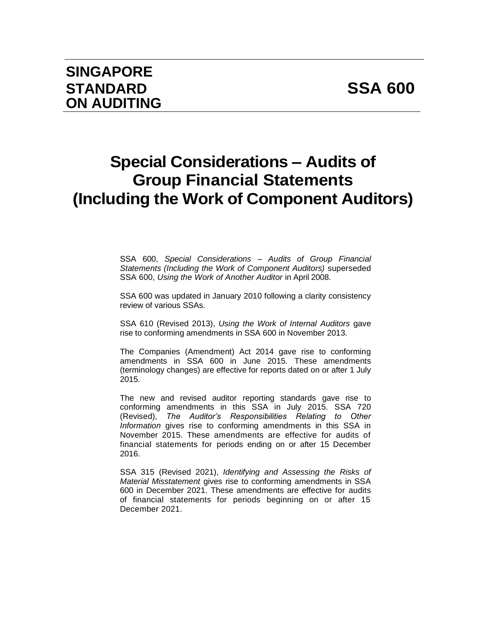# **Special Considerations – Audits of Group Financial Statements (Including the Work of Component Auditors)**

SSA 600, *Special Considerations – Audits of Group Financial Statements (Including the Work of Component Auditors)* superseded SSA 600, *Using the Work of Another Auditor* in April 2008.

SSA 600 was updated in January 2010 following a clarity consistency review of various SSAs.

SSA 610 (Revised 2013), *Using the Work of Internal Auditors* gave rise to conforming amendments in SSA 600 in November 2013.

The Companies (Amendment) Act 2014 gave rise to conforming amendments in SSA 600 in June 2015. These amendments (terminology changes) are effective for reports dated on or after 1 July 2015.

The new and revised auditor reporting standards gave rise to conforming amendments in this SSA in July 2015. SSA 720 (Revised), *The Auditor's Responsibilities Relating to Other Information* gives rise to conforming amendments in this SSA in November 2015. These amendments are effective for audits of financial statements for periods ending on or after 15 December 2016.

SSA 315 (Revised 2021), *Identifying and Assessing the Risks of Material Misstatement* gives rise to conforming amendments in SSA 600 in December 2021. These amendments are effective for audits of financial statements for periods beginning on or after 15 December 2021.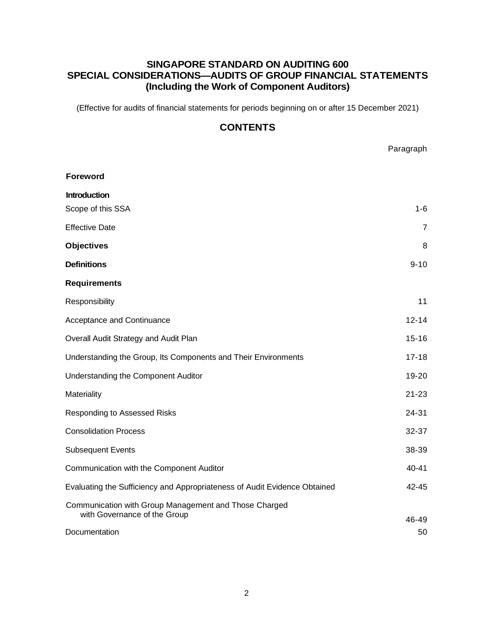### **SINGAPORE STANDARD ON AUDITING 600 SPECIAL CONSIDERATIONS—AUDITS OF GROUP FINANCIAL STATEMENTS (Including the Work of Component Auditors)**

(Effective for audits of financial statements for periods beginning on or after 15 December 2021)

### **CONTENTS**

Paragraph

| <b>Foreword</b>                                                                       |                |
|---------------------------------------------------------------------------------------|----------------|
| <b>Introduction</b>                                                                   |                |
| Scope of this SSA                                                                     | $1 - 6$        |
| <b>Effective Date</b>                                                                 | $\overline{7}$ |
| <b>Objectives</b>                                                                     | 8              |
| <b>Definitions</b>                                                                    | $9 - 10$       |
| <b>Requirements</b>                                                                   |                |
| Responsibility                                                                        | 11             |
| Acceptance and Continuance                                                            | $12 - 14$      |
| Overall Audit Strategy and Audit Plan                                                 | $15 - 16$      |
| Understanding the Group, Its Components and Their Environments                        | $17 - 18$      |
| Understanding the Component Auditor                                                   | 19-20          |
| Materiality                                                                           | $21 - 23$      |
| Responding to Assessed Risks                                                          | 24-31          |
| <b>Consolidation Process</b>                                                          | $32 - 37$      |
| <b>Subsequent Events</b>                                                              | 38-39          |
| Communication with the Component Auditor                                              | $40 - 41$      |
| Evaluating the Sufficiency and Appropriateness of Audit Evidence Obtained             | 42-45          |
| Communication with Group Management and Those Charged<br>with Governance of the Group | 46-49          |
| Documentation                                                                         | 50             |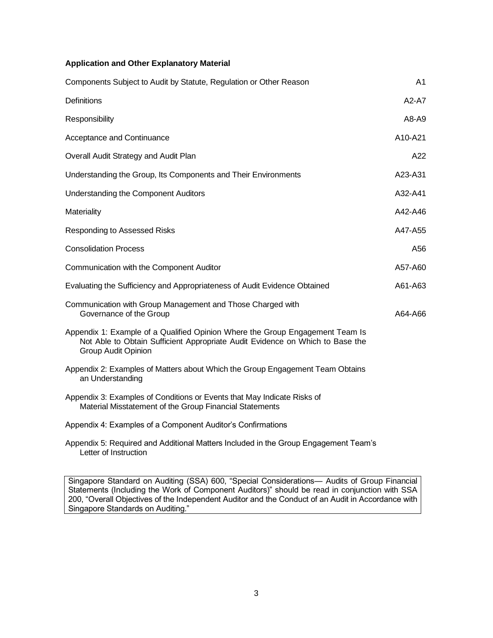### **Application and Other Explanatory Material**

| Components Subject to Audit by Statute, Regulation or Other Reason                                                                                                                           | A1      |
|----------------------------------------------------------------------------------------------------------------------------------------------------------------------------------------------|---------|
| Definitions                                                                                                                                                                                  | A2-A7   |
| Responsibility                                                                                                                                                                               | $A8-A9$ |
| Acceptance and Continuance                                                                                                                                                                   | A10-A21 |
| Overall Audit Strategy and Audit Plan                                                                                                                                                        | A22     |
| Understanding the Group, Its Components and Their Environments                                                                                                                               | A23-A31 |
| Understanding the Component Auditors                                                                                                                                                         | A32-A41 |
| Materiality                                                                                                                                                                                  | A42-A46 |
| <b>Responding to Assessed Risks</b>                                                                                                                                                          | A47-A55 |
| <b>Consolidation Process</b>                                                                                                                                                                 | A56     |
| Communication with the Component Auditor                                                                                                                                                     | A57-A60 |
| Evaluating the Sufficiency and Appropriateness of Audit Evidence Obtained                                                                                                                    | A61-A63 |
| Communication with Group Management and Those Charged with<br>Governance of the Group                                                                                                        | A64-A66 |
| Appendix 1: Example of a Qualified Opinion Where the Group Engagement Team Is<br>Not Able to Obtain Sufficient Appropriate Audit Evidence on Which to Base the<br><b>Group Audit Opinion</b> |         |
| Appendix 2: Examples of Matters about Which the Group Engagement Team Obtains<br>an Understanding                                                                                            |         |
| Appendix 3: Examples of Conditions or Events that May Indicate Risks of<br>Material Misstatement of the Group Financial Statements                                                           |         |
| Appendix 4: Examples of a Component Auditor's Confirmations                                                                                                                                  |         |
| Appendix 5: Required and Additional Matters Included in the Group Engagement Team's<br>Letter of Instruction                                                                                 |         |

Singapore Standard on Auditing (SSA) 600, "Special Considerations— Audits of Group Financial Statements (Including the Work of Component Auditors)" should be read in conjunction with SSA 200, "Overall Objectives of the Independent Auditor and the Conduct of an Audit in Accordance with Singapore Standards on Auditing."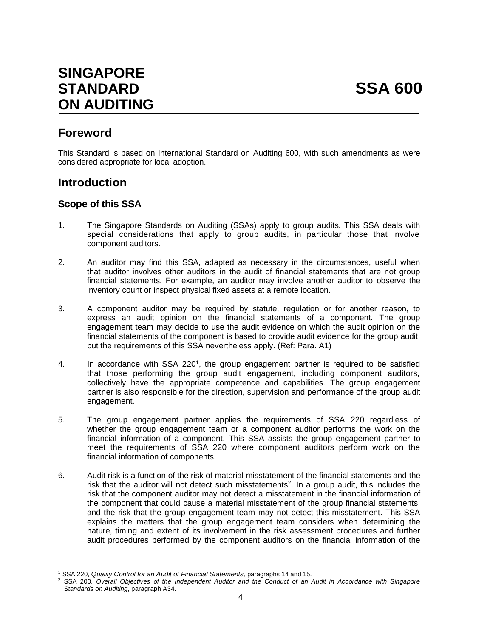# **SINGAPORE STANDARD SSA 600 ON AUDITING**

## **Foreword**

This Standard is based on International Standard on Auditing 600, with such amendments as were considered appropriate for local adoption.

### **Introduction**

### **Scope of this SSA**

- 1. The Singapore Standards on Auditing (SSAs) apply to group audits. This SSA deals with special considerations that apply to group audits, in particular those that involve component auditors.
- 2. An auditor may find this SSA, adapted as necessary in the circumstances, useful when that auditor involves other auditors in the audit of financial statements that are not group financial statements. For example, an auditor may involve another auditor to observe the inventory count or inspect physical fixed assets at a remote location.
- 3. A component auditor may be required by statute, regulation or for another reason, to express an audit opinion on the financial statements of a component. The group engagement team may decide to use the audit evidence on which the audit opinion on the financial statements of the component is based to provide audit evidence for the group audit, but the requirements of this SSA nevertheless apply. (Ref: Para. A1)
- 4. In accordance with SSA 220<sup>1</sup>, the group engagement partner is required to be satisfied that those performing the group audit engagement, including component auditors, collectively have the appropriate competence and capabilities. The group engagement partner is also responsible for the direction, supervision and performance of the group audit engagement.
- 5. The group engagement partner applies the requirements of SSA 220 regardless of whether the group engagement team or a component auditor performs the work on the financial information of a component. This SSA assists the group engagement partner to meet the requirements of SSA 220 where component auditors perform work on the financial information of components.
- 6. Audit risk is a function of the risk of material misstatement of the financial statements and the risk that the auditor will not detect such misstatements<sup>2</sup>. In a group audit, this includes the risk that the component auditor may not detect a misstatement in the financial information of the component that could cause a material misstatement of the group financial statements, and the risk that the group engagement team may not detect this misstatement. This SSA explains the matters that the group engagement team considers when determining the nature, timing and extent of its involvement in the risk assessment procedures and further audit procedures performed by the component auditors on the financial information of the

<sup>1</sup> SSA 220, *Quality Control for an Audit of Financial Statements*, paragraphs 14 and 15.

<sup>2</sup> SSA 200, *Overall Objectives of the Independent Auditor and the Conduct of an Audit in Accordance with Singapore Standards on Auditing*, paragraph A34.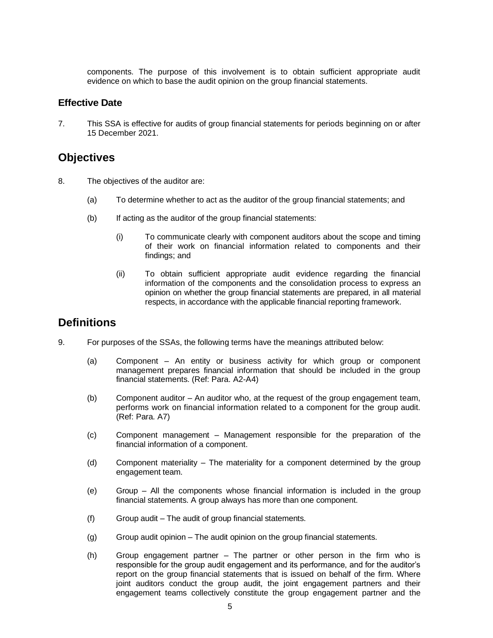components. The purpose of this involvement is to obtain sufficient appropriate audit evidence on which to base the audit opinion on the group financial statements.

#### **Effective Date**

7. This SSA is effective for audits of group financial statements for periods beginning on or after 15 December 2021.

### **Objectives**

- 8. The objectives of the auditor are:
	- (a) To determine whether to act as the auditor of the group financial statements; and
	- (b) If acting as the auditor of the group financial statements:
		- (i) To communicate clearly with component auditors about the scope and timing of their work on financial information related to components and their findings; and
		- (ii) To obtain sufficient appropriate audit evidence regarding the financial information of the components and the consolidation process to express an opinion on whether the group financial statements are prepared, in all material respects, in accordance with the applicable financial reporting framework.

### **Definitions**

- 9. For purposes of the SSAs, the following terms have the meanings attributed below:
	- (a) Component An entity or business activity for which group or component management prepares financial information that should be included in the group financial statements. (Ref: Para. A2-A4)
	- (b) Component auditor An auditor who, at the request of the group engagement team, performs work on financial information related to a component for the group audit. (Ref: Para. A7)
	- (c) Component management Management responsible for the preparation of the financial information of a component.
	- (d) Component materiality The materiality for a component determined by the group engagement team.
	- (e) Group All the components whose financial information is included in the group financial statements. A group always has more than one component.
	- (f) Group audit The audit of group financial statements.
	- (g) Group audit opinion The audit opinion on the group financial statements.
	- (h) Group engagement partner The partner or other person in the firm who is responsible for the group audit engagement and its performance, and for the auditor's report on the group financial statements that is issued on behalf of the firm. Where joint auditors conduct the group audit, the joint engagement partners and their engagement teams collectively constitute the group engagement partner and the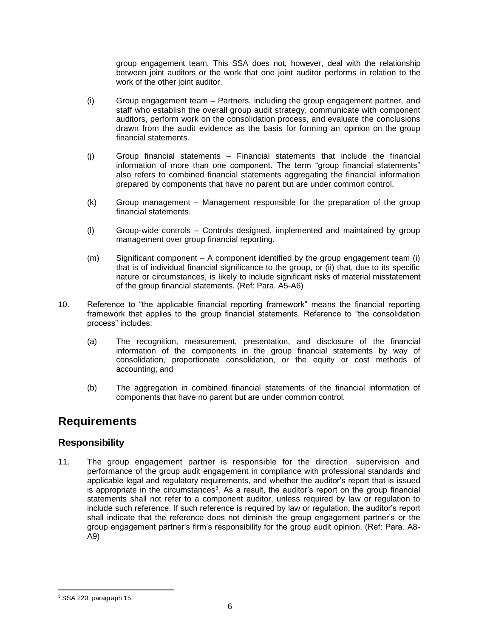group engagement team. This SSA does not, however, deal with the relationship between joint auditors or the work that one joint auditor performs in relation to the work of the other joint auditor.

- (i) Group engagement team Partners, including the group engagement partner, and staff who establish the overall group audit strategy, communicate with component auditors, perform work on the consolidation process, and evaluate the conclusions drawn from the audit evidence as the basis for forming an opinion on the group financial statements.
- (j) Group financial statements Financial statements that include the financial information of more than one component. The term "group financial statements" also refers to combined financial statements aggregating the financial information prepared by components that have no parent but are under common control.
- (k) Group management Management responsible for the preparation of the group financial statements.
- (l) Group-wide controls Controls designed, implemented and maintained by group management over group financial reporting.
- (m) Significant component A component identified by the group engagement team (i) that is of individual financial significance to the group, or (ii) that, due to its specific nature or circumstances, is likely to include significant risks of material misstatement of the group financial statements. (Ref: Para. A5-A6)
- 10. Reference to "the applicable financial reporting framework" means the financial reporting framework that applies to the group financial statements. Reference to "the consolidation process" includes:
	- (a) The recognition, measurement, presentation, and disclosure of the financial information of the components in the group financial statements by way of consolidation, proportionate consolidation, or the equity or cost methods of accounting; and
	- (b) The aggregation in combined financial statements of the financial information of components that have no parent but are under common control.

### **Requirements**

### **Responsibility**

11. The group engagement partner is responsible for the direction, supervision and performance of the group audit engagement in compliance with professional standards and applicable legal and regulatory requirements, and whether the auditor's report that is issued is appropriate in the circumstances<sup>3</sup>. As a result, the auditor's report on the group financial statements shall not refer to a component auditor, unless required by law or regulation to include such reference. If such reference is required by law or regulation, the auditor's report shall indicate that the reference does not diminish the group engagement partner's or the group engagement partner's firm's responsibility for the group audit opinion. (Ref: Para. A8- A9)

<sup>3</sup> SSA 220, paragraph 15.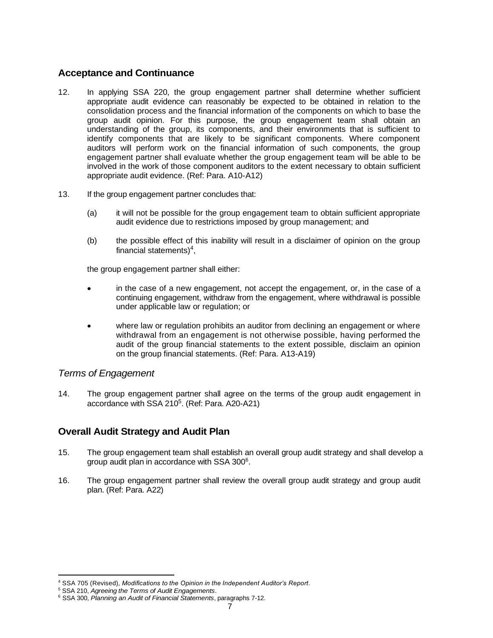### **Acceptance and Continuance**

- 12. In applying SSA 220, the group engagement partner shall determine whether sufficient appropriate audit evidence can reasonably be expected to be obtained in relation to the consolidation process and the financial information of the components on which to base the group audit opinion. For this purpose, the group engagement team shall obtain an understanding of the group, its components, and their environments that is sufficient to identify components that are likely to be significant components. Where component auditors will perform work on the financial information of such components, the group engagement partner shall evaluate whether the group engagement team will be able to be involved in the work of those component auditors to the extent necessary to obtain sufficient appropriate audit evidence. (Ref: Para. A10-A12)
- 13. If the group engagement partner concludes that:
	- (a) it will not be possible for the group engagement team to obtain sufficient appropriate audit evidence due to restrictions imposed by group management; and
	- (b) the possible effect of this inability will result in a disclaimer of opinion on the group financial statements)<sup>4</sup>,

the group engagement partner shall either:

- in the case of a new engagement, not accept the engagement, or, in the case of a continuing engagement, withdraw from the engagement, where withdrawal is possible under applicable law or regulation; or
- where law or regulation prohibits an auditor from declining an engagement or where withdrawal from an engagement is not otherwise possible, having performed the audit of the group financial statements to the extent possible, disclaim an opinion on the group financial statements. (Ref: Para. A13-A19)

### *Terms of Engagement*

14. The group engagement partner shall agree on the terms of the group audit engagement in accordance with SSA 210<sup>5</sup>. (Ref: Para. A20-A21)

### **Overall Audit Strategy and Audit Plan**

- 15. The group engagement team shall establish an overall group audit strategy and shall develop a group audit plan in accordance with SSA 300<sup>6</sup>.
- 16. The group engagement partner shall review the overall group audit strategy and group audit plan. (Ref: Para. A22)

<sup>4</sup> SSA 705 (Revised), *Modifications to the Opinion in the Independent Auditor's Report*.

<sup>5</sup> SSA 210, *Agreeing the Terms of Audit Engagements*.

<sup>6</sup> SSA 300, *Planning an Audit of Financial Statements*, paragraphs 7-12.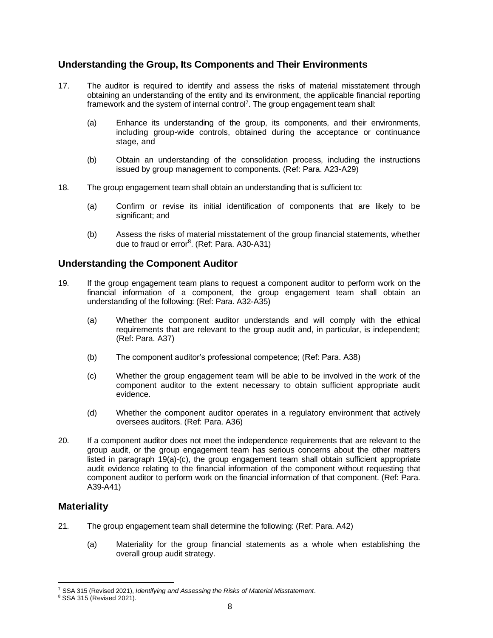### **Understanding the Group, Its Components and Their Environments**

- 17. The auditor is required to identify and assess the risks of material misstatement through obtaining an understanding of the entity and its environment, the applicable financial reporting framework and the system of internal control<sup>7</sup>. The group engagement team shall:
	- (a) Enhance its understanding of the group, its components, and their environments, including group-wide controls, obtained during the acceptance or continuance stage, and
	- (b) Obtain an understanding of the consolidation process, including the instructions issued by group management to components. (Ref: Para. A23-A29)
- 18. The group engagement team shall obtain an understanding that is sufficient to:
	- (a) Confirm or revise its initial identification of components that are likely to be significant; and
	- (b) Assess the risks of material misstatement of the group financial statements, whether due to fraud or error<sup>8</sup>. (Ref: Para. A30-A31)

### **Understanding the Component Auditor**

- 19. If the group engagement team plans to request a component auditor to perform work on the financial information of a component, the group engagement team shall obtain an understanding of the following: (Ref: Para. A32-A35)
	- (a) Whether the component auditor understands and will comply with the ethical requirements that are relevant to the group audit and, in particular, is independent; (Ref: Para. A37)
	- (b) The component auditor's professional competence; (Ref: Para. A38)
	- (c) Whether the group engagement team will be able to be involved in the work of the component auditor to the extent necessary to obtain sufficient appropriate audit evidence.
	- (d) Whether the component auditor operates in a regulatory environment that actively oversees auditors. (Ref: Para. A36)
- 20. If a component auditor does not meet the independence requirements that are relevant to the group audit, or the group engagement team has serious concerns about the other matters listed in paragraph 19(a)-(c), the group engagement team shall obtain sufficient appropriate audit evidence relating to the financial information of the component without requesting that component auditor to perform work on the financial information of that component. (Ref: Para. A39-A41)

### **Materiality**

- 21. The group engagement team shall determine the following: (Ref: Para. A42)
	- (a) Materiality for the group financial statements as a whole when establishing the overall group audit strategy.

<sup>7</sup> SSA 315 (Revised 2021), *Identifying and Assessing the Risks of Material Misstatement*.

<sup>8</sup> SSA 315 (Revised 2021).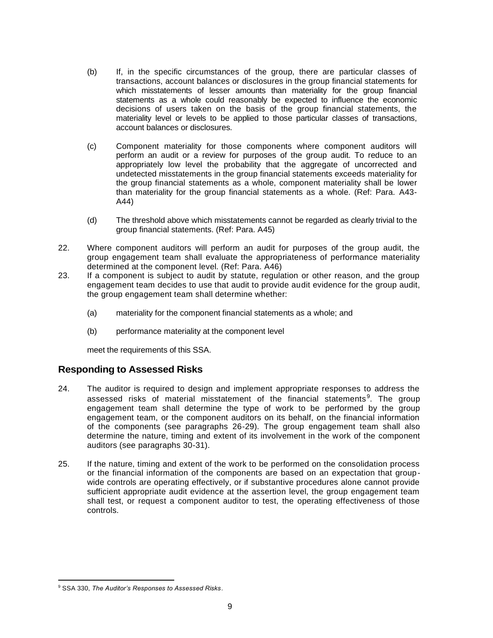- (b) If, in the specific circumstances of the group, there are particular classes of transactions, account balances or disclosures in the group financial statements for which misstatements of lesser amounts than materiality for the group financial statements as a whole could reasonably be expected to influence the economic decisions of users taken on the basis of the group financial statements, the materiality level or levels to be applied to those particular classes of transactions, account balances or disclosures.
- (c) Component materiality for those components where component auditors will perform an audit or a review for purposes of the group audit. To reduce to an appropriately low level the probability that the aggregate of uncorrected and undetected misstatements in the group financial statements exceeds materiality for the group financial statements as a whole, component materiality shall be lower than materiality for the group financial statements as a whole. (Ref: Para. A43- A44)
- (d) The threshold above which misstatements cannot be regarded as clearly trivial to the group financial statements. (Ref: Para. A45)
- 22. Where component auditors will perform an audit for purposes of the group audit, the group engagement team shall evaluate the appropriateness of performance materiality determined at the component level. (Ref: Para. A46)
- 23. If a component is subject to audit by statute, regulation or other reason, and the group engagement team decides to use that audit to provide audit evidence for the group audit, the group engagement team shall determine whether:
	- (a) materiality for the component financial statements as a whole; and
	- (b) performance materiality at the component level

meet the requirements of this SSA.

### **Responding to Assessed Risks**

- 24. The auditor is required to design and implement appropriate responses to address the assessed risks of material misstatement of the financial statements<sup>9</sup>. The group engagement team shall determine the type of work to be performed by the group engagement team, or the component auditors on its behalf, on the financial information of the components (see paragraphs 26-29). The group engagement team shall also determine the nature, timing and extent of its involvement in the work of the component auditors (see paragraphs 30-31).
- 25. If the nature, timing and extent of the work to be performed on the consolidation process or the financial information of the components are based on an expectation that groupwide controls are operating effectively, or if substantive procedures alone cannot provide sufficient appropriate audit evidence at the assertion level, the group engagement team shall test, or request a component auditor to test, the operating effectiveness of those controls.

<sup>9</sup> SSA 330, *The Auditor's Responses to Assessed Risks*.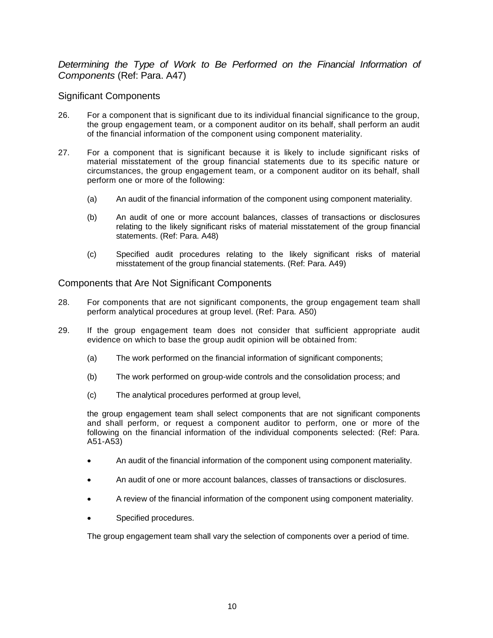*Determining the Type of Work to Be Performed on the Financial Information of Components* (Ref: Para. A47)

### Significant Components

- 26. For a component that is significant due to its individual financial significance to the group, the group engagement team, or a component auditor on its behalf, shall perform an audit of the financial information of the component using component materiality.
- 27. For a component that is significant because it is likely to include significant risks of material misstatement of the group financial statements due to its specific nature or circumstances, the group engagement team, or a component auditor on its behalf, shall perform one or more of the following:
	- (a) An audit of the financial information of the component using component materiality.
	- (b) An audit of one or more account balances, classes of transactions or disclosures relating to the likely significant risks of material misstatement of the group financial statements. (Ref: Para. A48)
	- (c) Specified audit procedures relating to the likely significant risks of material misstatement of the group financial statements. (Ref: Para. A49)

#### Components that Are Not Significant Components

- 28. For components that are not significant components, the group engagement team shall perform analytical procedures at group level. (Ref: Para. A50)
- 29. If the group engagement team does not consider that sufficient appropriate audit evidence on which to base the group audit opinion will be obtained from:
	- (a) The work performed on the financial information of significant components;
	- (b) The work performed on group-wide controls and the consolidation process; and
	- (c) The analytical procedures performed at group level,

the group engagement team shall select components that are not significant components and shall perform, or request a component auditor to perform, one or more of the following on the financial information of the individual components selected: (Ref: Para. A51-A53)

- An audit of the financial information of the component using component materiality.
- An audit of one or more account balances, classes of transactions or disclosures.
- A review of the financial information of the component using component materiality.
- Specified procedures.

The group engagement team shall vary the selection of components over a period of time.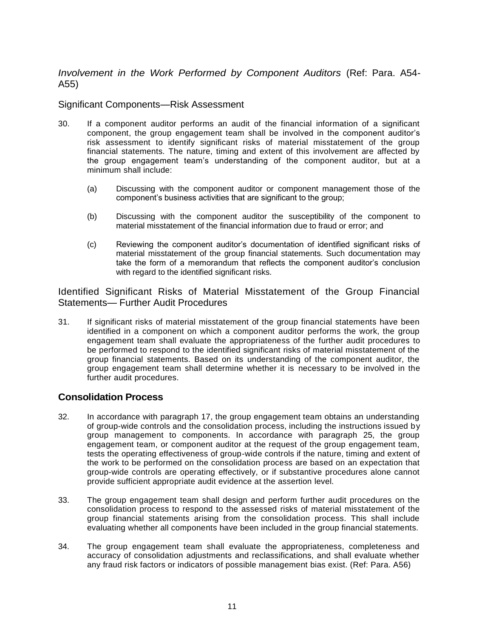*Involvement in the Work Performed by Component Auditors* (Ref: Para. A54- A55)

Significant Components—Risk Assessment

- 30. If a component auditor performs an audit of the financial information of a significant component, the group engagement team shall be involved in the component auditor's risk assessment to identify significant risks of material misstatement of the group financial statements. The nature, timing and extent of this involvement are affected by the group engagement team's understanding of the component auditor, but at a minimum shall include:
	- (a) Discussing with the component auditor or component management those of the component's business activities that are significant to the group;
	- (b) Discussing with the component auditor the susceptibility of the component to material misstatement of the financial information due to fraud or error; and
	- (c) Reviewing the component auditor's documentation of identified significant risks of material misstatement of the group financial statements. Such documentation may take the form of a memorandum that reflects the component auditor's conclusion with regard to the identified significant risks.

Identified Significant Risks of Material Misstatement of the Group Financial Statements— Further Audit Procedures

31. If significant risks of material misstatement of the group financial statements have been identified in a component on which a component auditor performs the work, the group engagement team shall evaluate the appropriateness of the further audit procedures to be performed to respond to the identified significant risks of material misstatement of the group financial statements. Based on its understanding of the component auditor, the group engagement team shall determine whether it is necessary to be involved in the further audit procedures.

### **Consolidation Process**

- 32. In accordance with paragraph 17, the group engagement team obtains an understanding of group-wide controls and the consolidation process, including the instructions issued by group management to components. In accordance with paragraph 25, the group engagement team, or component auditor at the request of the group engagement team, tests the operating effectiveness of group-wide controls if the nature, timing and extent of the work to be performed on the consolidation process are based on an expectation that group-wide controls are operating effectively, or if substantive procedures alone cannot provide sufficient appropriate audit evidence at the assertion level.
- 33. The group engagement team shall design and perform further audit procedures on the consolidation process to respond to the assessed risks of material misstatement of the group financial statements arising from the consolidation process. This shall include evaluating whether all components have been included in the group financial statements.
- 34. The group engagement team shall evaluate the appropriateness, completeness and accuracy of consolidation adjustments and reclassifications, and shall evaluate whether any fraud risk factors or indicators of possible management bias exist. (Ref: Para. A56)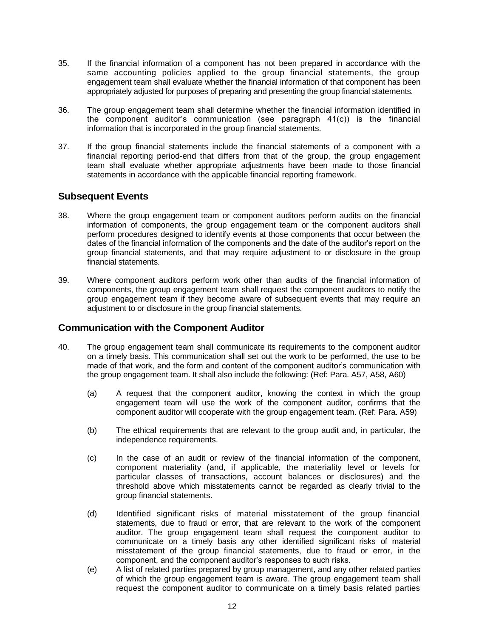- 35. If the financial information of a component has not been prepared in accordance with the same accounting policies applied to the group financial statements, the group engagement team shall evaluate whether the financial information of that component has been appropriately adjusted for purposes of preparing and presenting the group financial statements.
- 36. The group engagement team shall determine whether the financial information identified in the component auditor's communication (see paragraph 41(c)) is the financial information that is incorporated in the group financial statements.
- 37. If the group financial statements include the financial statements of a component with a financial reporting period-end that differs from that of the group, the group engagement team shall evaluate whether appropriate adjustments have been made to those financial statements in accordance with the applicable financial reporting framework.

### **Subsequent Events**

- 38. Where the group engagement team or component auditors perform audits on the financial information of components, the group engagement team or the component auditors shall perform procedures designed to identify events at those components that occur between the dates of the financial information of the components and the date of the auditor's report on the group financial statements, and that may require adjustment to or disclosure in the group financial statements.
- 39. Where component auditors perform work other than audits of the financial information of components, the group engagement team shall request the component auditors to notify the group engagement team if they become aware of subsequent events that may require an adjustment to or disclosure in the group financial statements.

### **Communication with the Component Auditor**

- 40. The group engagement team shall communicate its requirements to the component auditor on a timely basis. This communication shall set out the work to be performed, the use to be made of that work, and the form and content of the component auditor's communication with the group engagement team. It shall also include the following: (Ref: Para. A57, A58, A60)
	- (a) A request that the component auditor, knowing the context in which the group engagement team will use the work of the component auditor, confirms that the component auditor will cooperate with the group engagement team. (Ref: Para. A59)
	- (b) The ethical requirements that are relevant to the group audit and, in particular, the independence requirements.
	- (c) In the case of an audit or review of the financial information of the component, component materiality (and, if applicable, the materiality level or levels for particular classes of transactions, account balances or disclosures) and the threshold above which misstatements cannot be regarded as clearly trivial to the group financial statements.
	- (d) Identified significant risks of material misstatement of the group financial statements, due to fraud or error, that are relevant to the work of the component auditor. The group engagement team shall request the component auditor to communicate on a timely basis any other identified significant risks of material misstatement of the group financial statements, due to fraud or error, in the component, and the component auditor's responses to such risks.
	- (e) A list of related parties prepared by group management, and any other related parties of which the group engagement team is aware. The group engagement team shall request the component auditor to communicate on a timely basis related parties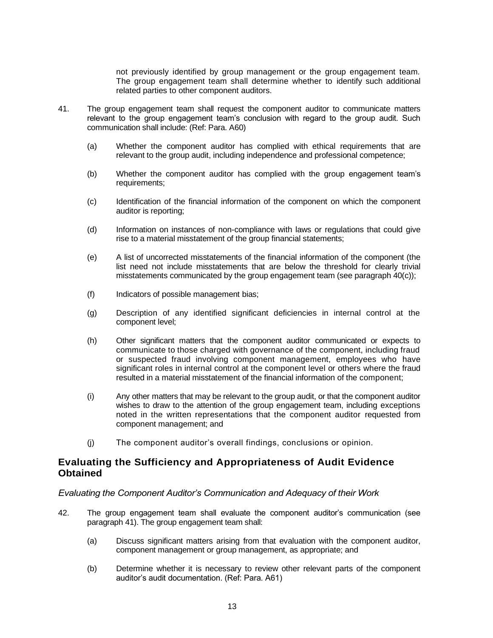not previously identified by group management or the group engagement team. The group engagement team shall determine whether to identify such additional related parties to other component auditors.

- 41. The group engagement team shall request the component auditor to communicate matters relevant to the group engagement team's conclusion with regard to the group audit. Such communication shall include: (Ref: Para. A60)
	- (a) Whether the component auditor has complied with ethical requirements that are relevant to the group audit, including independence and professional competence;
	- (b) Whether the component auditor has complied with the group engagement team's requirements;
	- (c) Identification of the financial information of the component on which the component auditor is reporting;
	- (d) Information on instances of non-compliance with laws or regulations that could give rise to a material misstatement of the group financial statements;
	- (e) A list of uncorrected misstatements of the financial information of the component (the list need not include misstatements that are below the threshold for clearly trivial misstatements communicated by the group engagement team (see paragraph 40(c));
	- (f) Indicators of possible management bias;
	- (g) Description of any identified significant deficiencies in internal control at the component level;
	- (h) Other significant matters that the component auditor communicated or expects to communicate to those charged with governance of the component, including fraud or suspected fraud involving component management, employees who have significant roles in internal control at the component level or others where the fraud resulted in a material misstatement of the financial information of the component;
	- (i) Any other matters that may be relevant to the group audit, or that the component auditor wishes to draw to the attention of the group engagement team, including exceptions noted in the written representations that the component auditor requested from component management; and
	- (j) The component auditor's overall findings, conclusions or opinion.

### **Evaluating the Sufficiency and Appropriateness of Audit Evidence Obtained**

#### *Evaluating the Component Auditor's Communication and Adequacy of their Work*

- 42. The group engagement team shall evaluate the component auditor's communication (see paragraph 41). The group engagement team shall:
	- (a) Discuss significant matters arising from that evaluation with the component auditor, component management or group management, as appropriate; and
	- (b) Determine whether it is necessary to review other relevant parts of the component auditor's audit documentation. (Ref: Para. A61)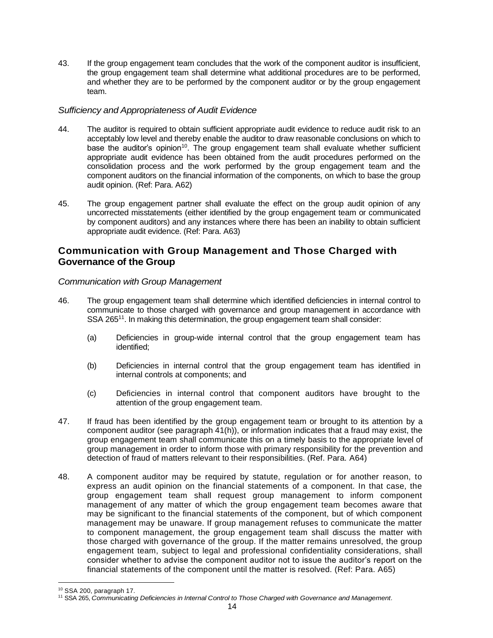43. If the group engagement team concludes that the work of the component auditor is insufficient, the group engagement team shall determine what additional procedures are to be performed, and whether they are to be performed by the component auditor or by the group engagement team.

### *Sufficiency and Appropriateness of Audit Evidence*

- 44. The auditor is required to obtain sufficient appropriate audit evidence to reduce audit risk to an acceptably low level and thereby enable the auditor to draw reasonable conclusions on which to base the auditor's opinion<sup>10</sup>. The group engagement team shall evaluate whether sufficient appropriate audit evidence has been obtained from the audit procedures performed on the consolidation process and the work performed by the group engagement team and the component auditors on the financial information of the components, on which to base the group audit opinion. (Ref: Para. A62)
- 45. The group engagement partner shall evaluate the effect on the group audit opinion of any uncorrected misstatements (either identified by the group engagement team or communicated by component auditors) and any instances where there has been an inability to obtain sufficient appropriate audit evidence. (Ref: Para. A63)

### **Communication with Group Management and Those Charged with Governance of the Group**

#### *Communication with Group Management*

- 46. The group engagement team shall determine which identified deficiencies in internal control to communicate to those charged with governance and group management in accordance with SSA 265<sup>11</sup>. In making this determination, the group engagement team shall consider:
	- (a) Deficiencies in group-wide internal control that the group engagement team has identified;
	- (b) Deficiencies in internal control that the group engagement team has identified in internal controls at components; and
	- (c) Deficiencies in internal control that component auditors have brought to the attention of the group engagement team.
- 47. If fraud has been identified by the group engagement team or brought to its attention by a component auditor (see paragraph 41(h)), or information indicates that a fraud may exist, the group engagement team shall communicate this on a timely basis to the appropriate level of group management in order to inform those with primary responsibility for the prevention and detection of fraud of matters relevant to their responsibilities. (Ref. Para. A64)
- 48. A component auditor may be required by statute, regulation or for another reason, to express an audit opinion on the financial statements of a component. In that case, the group engagement team shall request group management to inform component management of any matter of which the group engagement team becomes aware that may be significant to the financial statements of the component, but of which component management may be unaware. If group management refuses to communicate the matter to component management, the group engagement team shall discuss the matter with those charged with governance of the group. If the matter remains unresolved, the group engagement team, subject to legal and professional confidentiality considerations, shall consider whether to advise the component auditor not to issue the auditor's report on the financial statements of the component until the matter is resolved. (Ref: Para. A65)

<sup>10</sup> SSA 200, paragraph 17.

<sup>11</sup> SSA 265, *Communicating Deficiencies in Internal Control to Those Charged with Governance and Management*.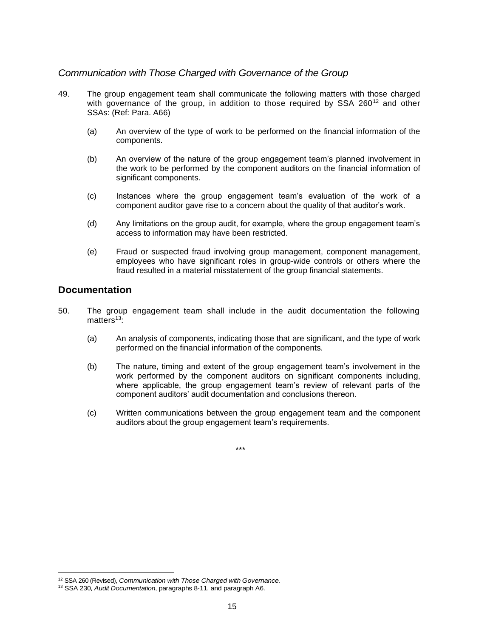### *Communication with Those Charged with Governance of the Group*

- 49. The group engagement team shall communicate the following matters with those charged with governance of the group, in addition to those required by SSA  $260^{12}$  and other SSAs: (Ref: Para. A66)
	- (a) An overview of the type of work to be performed on the financial information of the components.
	- (b) An overview of the nature of the group engagement team's planned involvement in the work to be performed by the component auditors on the financial information of significant components.
	- (c) Instances where the group engagement team's evaluation of the work of a component auditor gave rise to a concern about the quality of that auditor's work.
	- (d) Any limitations on the group audit, for example, where the group engagement team's access to information may have been restricted.
	- (e) Fraud or suspected fraud involving group management, component management, employees who have significant roles in group-wide controls or others where the fraud resulted in a material misstatement of the group financial statements.

### **Documentation**

- 50. The group engagement team shall include in the audit documentation the following  $matters<sup>13</sup>$ :
	- (a) An analysis of components, indicating those that are significant, and the type of work performed on the financial information of the components.
	- (b) The nature, timing and extent of the group engagement team's involvement in the work performed by the component auditors on significant components including, where applicable, the group engagement team's review of relevant parts of the component auditors' audit documentation and conclusions thereon.
	- (c) Written communications between the group engagement team and the component auditors about the group engagement team's requirements.

\*\*\*

<sup>12</sup> SSA 260 (Revised), *Communication with Those Charged with Governance*.

<sup>13</sup> SSA 230, *Audit Documentation*, paragraphs 8-11, and paragraph A6.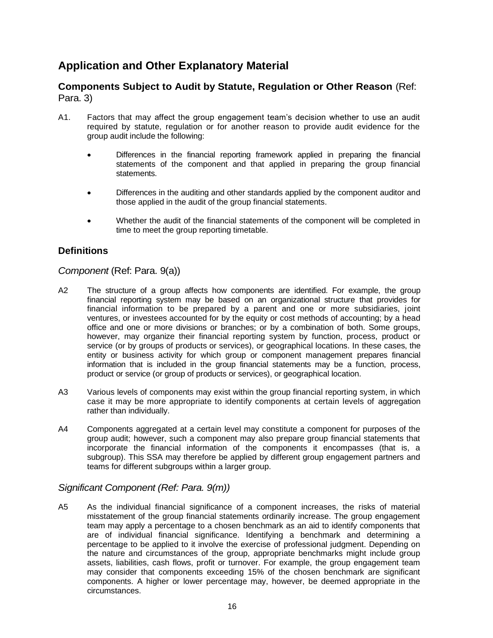## **Application and Other Explanatory Material**

### **Components Subject to Audit by Statute, Regulation or Other Reason** (Ref: Para. 3)

- A1. Factors that may affect the group engagement team's decision whether to use an audit required by statute, regulation or for another reason to provide audit evidence for the group audit include the following:
	- Differences in the financial reporting framework applied in preparing the financial statements of the component and that applied in preparing the group financial statements.
	- Differences in the auditing and other standards applied by the component auditor and those applied in the audit of the group financial statements.
	- Whether the audit of the financial statements of the component will be completed in time to meet the group reporting timetable.

### **Definitions**

### *Component* (Ref: Para. 9(a))

- A2 The structure of a group affects how components are identified. For example, the group financial reporting system may be based on an organizational structure that provides for financial information to be prepared by a parent and one or more subsidiaries, joint ventures, or investees accounted for by the equity or cost methods of accounting; by a head office and one or more divisions or branches; or by a combination of both. Some groups, however, may organize their financial reporting system by function, process, product or service (or by groups of products or services), or geographical locations. In these cases, the entity or business activity for which group or component management prepares financial information that is included in the group financial statements may be a function, process, product or service (or group of products or services), or geographical location.
- A3 Various levels of components may exist within the group financial reporting system, in which case it may be more appropriate to identify components at certain levels of aggregation rather than individually.
- A4 Components aggregated at a certain level may constitute a component for purposes of the group audit; however, such a component may also prepare group financial statements that incorporate the financial information of the components it encompasses (that is, a subgroup). This SSA may therefore be applied by different group engagement partners and teams for different subgroups within a larger group.

### *Significant Component (Ref: Para. 9(m))*

A5 As the individual financial significance of a component increases, the risks of material misstatement of the group financial statements ordinarily increase. The group engagement team may apply a percentage to a chosen benchmark as an aid to identify components that are of individual financial significance. Identifying a benchmark and determining a percentage to be applied to it involve the exercise of professional judgment. Depending on the nature and circumstances of the group, appropriate benchmarks might include group assets, liabilities, cash flows, profit or turnover. For example, the group engagement team may consider that components exceeding 15% of the chosen benchmark are significant components. A higher or lower percentage may, however, be deemed appropriate in the circumstances.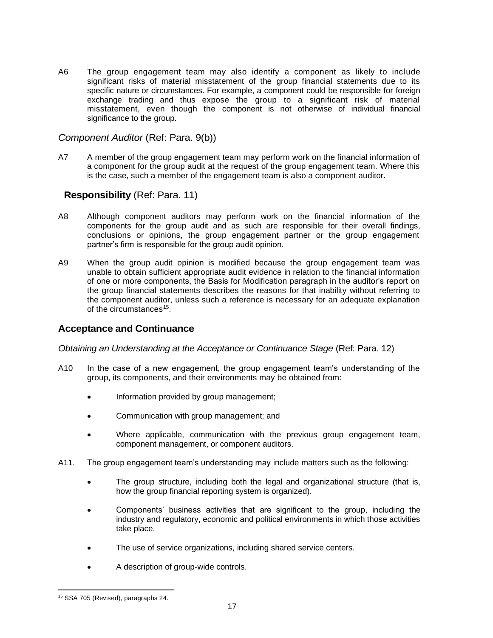A6 The group engagement team may also identify a component as likely to include significant risks of material misstatement of the group financial statements due to its specific nature or circumstances. For example, a component could be responsible for foreign exchange trading and thus expose the group to a significant risk of material misstatement, even though the component is not otherwise of individual financial significance to the group.

#### *Component Auditor* (Ref: Para. 9(b))

A7 A member of the group engagement team may perform work on the financial information of a component for the group audit at the request of the group engagement team. Where this is the case, such a member of the engagement team is also a component auditor.

### **Responsibility** (Ref: Para. 11)

- A8 Although component auditors may perform work on the financial information of the components for the group audit and as such are responsible for their overall findings, conclusions or opinions, the group engagement partner or the group engagement partner's firm is responsible for the group audit opinion.
- A9 When the group audit opinion is modified because the group engagement team was unable to obtain sufficient appropriate audit evidence in relation to the financial information of one or more components, the Basis for Modification paragraph in the auditor's report on the group financial statements describes the reasons for that inability without referring to the component auditor, unless such a reference is necessary for an adequate explanation of the circumstances<sup>15</sup>.

### **Acceptance and Continuance**

*Obtaining an Understanding at the Acceptance or Continuance Stage* (Ref: Para. 12)

- A10 In the case of a new engagement, the group engagement team's understanding of the group, its components, and their environments may be obtained from:
	- Information provided by group management;
	- Communication with group management; and
	- Where applicable, communication with the previous group engagement team, component management, or component auditors.
- A11. The group engagement team's understanding may include matters such as the following:
	- The group structure, including both the legal and organizational structure (that is, how the group financial reporting system is organized).
	- Components' business activities that are significant to the group, including the industry and regulatory, economic and political environments in which those activities take place.
	- The use of service organizations, including shared service centers.
	- A description of group-wide controls.

<sup>15</sup> SSA 705 (Revised), paragraphs 24.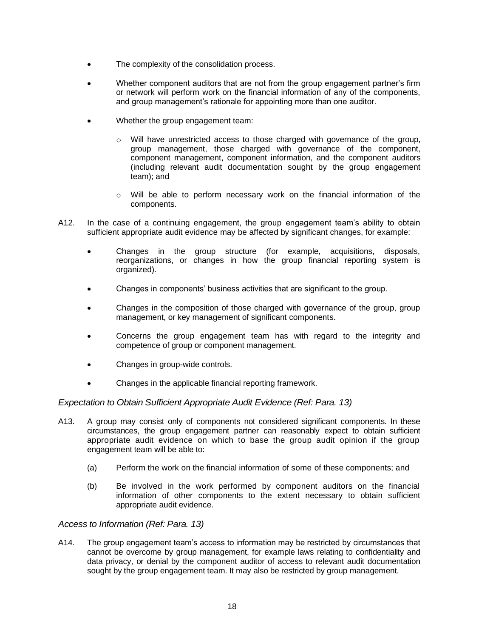- The complexity of the consolidation process.
- Whether component auditors that are not from the group engagement partner's firm or network will perform work on the financial information of any of the components, and group management's rationale for appointing more than one auditor.
- Whether the group engagement team:
	- $\circ$  Will have unrestricted access to those charged with governance of the group, group management, those charged with governance of the component, component management, component information, and the component auditors (including relevant audit documentation sought by the group engagement team); and
	- o Will be able to perform necessary work on the financial information of the components.
- A12. In the case of a continuing engagement, the group engagement team's ability to obtain sufficient appropriate audit evidence may be affected by significant changes, for example:
	- Changes in the group structure (for example, acquisitions, disposals, reorganizations, or changes in how the group financial reporting system is organized).
	- Changes in components' business activities that are significant to the group.
	- Changes in the composition of those charged with governance of the group, group management, or key management of significant components.
	- Concerns the group engagement team has with regard to the integrity and competence of group or component management.
	- Changes in group-wide controls.
	- Changes in the applicable financial reporting framework.

#### *Expectation to Obtain Sufficient Appropriate Audit Evidence (Ref: Para. 13)*

- A13. A group may consist only of components not considered significant components. In these circumstances, the group engagement partner can reasonably expect to obtain sufficient appropriate audit evidence on which to base the group audit opinion if the group engagement team will be able to:
	- (a) Perform the work on the financial information of some of these components; and
	- (b) Be involved in the work performed by component auditors on the financial information of other components to the extent necessary to obtain sufficient appropriate audit evidence.

#### *Access to Information (Ref: Para. 13)*

A14. The group engagement team's access to information may be restricted by circumstances that cannot be overcome by group management, for example laws relating to confidentiality and data privacy, or denial by the component auditor of access to relevant audit documentation sought by the group engagement team. It may also be restricted by group management.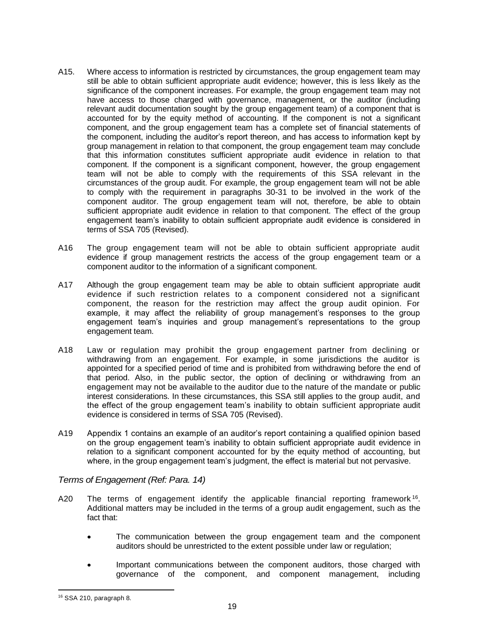- A15. Where access to information is restricted by circumstances, the group engagement team may still be able to obtain sufficient appropriate audit evidence; however, this is less likely as the significance of the component increases. For example, the group engagement team may not have access to those charged with governance, management, or the auditor (including relevant audit documentation sought by the group engagement team) of a component that is accounted for by the equity method of accounting. If the component is not a significant component, and the group engagement team has a complete set of financial statements of the component, including the auditor's report thereon, and has access to information kept by group management in relation to that component, the group engagement team may conclude that this information constitutes sufficient appropriate audit evidence in relation to that component. If the component is a significant component, however, the group engagement team will not be able to comply with the requirements of this SSA relevant in the circumstances of the group audit. For example, the group engagement team will not be able to comply with the requirement in paragraphs 30-31 to be involved in the work of the component auditor. The group engagement team will not, therefore, be able to obtain sufficient appropriate audit evidence in relation to that component. The effect of the group engagement team's inability to obtain sufficient appropriate audit evidence is considered in terms of SSA 705 (Revised).
- A16 The group engagement team will not be able to obtain sufficient appropriate audit evidence if group management restricts the access of the group engagement team or a component auditor to the information of a significant component.
- A17 Although the group engagement team may be able to obtain sufficient appropriate audit evidence if such restriction relates to a component considered not a significant component, the reason for the restriction may affect the group audit opinion. For example, it may affect the reliability of group management's responses to the group engagement team's inquiries and group management's representations to the group engagement team.
- A18 Law or regulation may prohibit the group engagement partner from declining or withdrawing from an engagement. For example, in some jurisdictions the auditor is appointed for a specified period of time and is prohibited from withdrawing before the end of that period. Also, in the public sector, the option of declining or withdrawing from an engagement may not be available to the auditor due to the nature of the mandate or public interest considerations. In these circumstances, this SSA still applies to the group audit, and the effect of the group engagement team's inability to obtain sufficient appropriate audit evidence is considered in terms of SSA 705 (Revised).
- A19 Appendix 1 contains an example of an auditor's report containing a qualified opinion based on the group engagement team's inability to obtain sufficient appropriate audit evidence in relation to a significant component accounted for by the equity method of accounting, but where, in the group engagement team's judgment, the effect is material but not pervasive.

#### *Terms of Engagement (Ref: Para. 14)*

- A20 The terms of engagement identify the applicable financial reporting framework<sup>16</sup>. Additional matters may be included in the terms of a group audit engagement, such as the fact that:
	- The communication between the group engagement team and the component auditors should be unrestricted to the extent possible under law or regulation;
	- Important communications between the component auditors, those charged with governance of the component, and component management, including

<sup>16</sup> SSA 210, paragraph 8.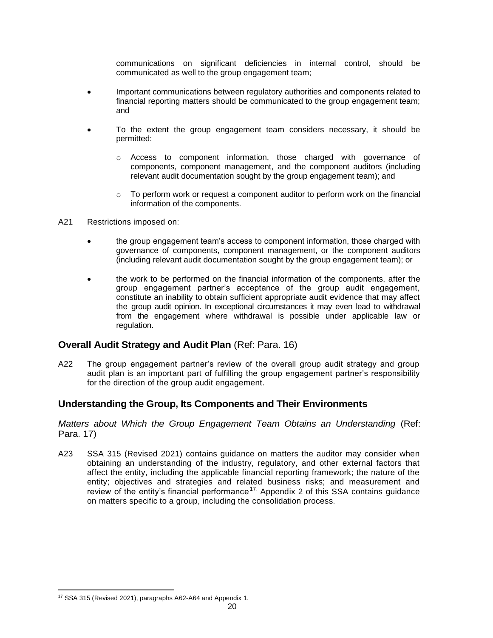communications on significant deficiencies in internal control, should be communicated as well to the group engagement team;

- Important communications between regulatory authorities and components related to financial reporting matters should be communicated to the group engagement team; and
- To the extent the group engagement team considers necessary, it should be permitted:
	- o Access to component information, those charged with governance of components, component management, and the component auditors (including relevant audit documentation sought by the group engagement team); and
	- $\circ$  To perform work or request a component auditor to perform work on the financial information of the components.
- A21 Restrictions imposed on:
	- the group engagement team's access to component information, those charged with governance of components, component management, or the component auditors (including relevant audit documentation sought by the group engagement team); or
	- the work to be performed on the financial information of the components, after the group engagement partner's acceptance of the group audit engagement, constitute an inability to obtain sufficient appropriate audit evidence that may affect the group audit opinion. In exceptional circumstances it may even lead to withdrawal from the engagement where withdrawal is possible under applicable law or regulation.

### **Overall Audit Strategy and Audit Plan** (Ref: Para. 16)

A22 The group engagement partner's review of the overall group audit strategy and group audit plan is an important part of fulfilling the group engagement partner's responsibility for the direction of the group audit engagement.

### **Understanding the Group, Its Components and Their Environments**

*Matters about Which the Group Engagement Team Obtains an Understanding* (Ref: Para. 17)

A23 SSA 315 (Revised 2021) contains guidance on matters the auditor may consider when obtaining an understanding of the industry, regulatory, and other external factors that affect the entity, including the applicable financial reporting framework; the nature of the entity; objectives and strategies and related business risks; and measurement and review of the entity's financial performance<sup>17</sup>. Appendix 2 of this SSA contains guidance on matters specific to a group, including the consolidation process.

<sup>17</sup> SSA 315 (Revised 2021), paragraphs A62-A64 and Appendix 1.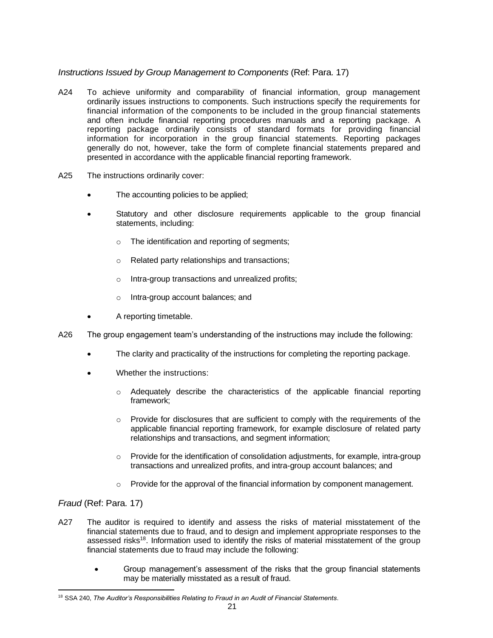### *Instructions Issued by Group Management to Components (Ref: Para. 17)*

- A24 To achieve uniformity and comparability of financial information, group management ordinarily issues instructions to components. Such instructions specify the requirements for financial information of the components to be included in the group financial statements and often include financial reporting procedures manuals and a reporting package. A reporting package ordinarily consists of standard formats for providing financial information for incorporation in the group financial statements. Reporting packages generally do not, however, take the form of complete financial statements prepared and presented in accordance with the applicable financial reporting framework.
- A25 The instructions ordinarily cover:
	- The accounting policies to be applied;
	- Statutory and other disclosure requirements applicable to the group financial statements, including:
		- o The identification and reporting of segments;
		- o Related party relationships and transactions;
		- o Intra-group transactions and unrealized profits;
		- o Intra-group account balances; and
	- A reporting timetable.
- A26 The group engagement team's understanding of the instructions may include the following:
	- The clarity and practicality of the instructions for completing the reporting package.
	- Whether the instructions:
		- $\circ$  Adequately describe the characteristics of the applicable financial reporting framework;
		- $\circ$  Provide for disclosures that are sufficient to comply with the requirements of the applicable financial reporting framework, for example disclosure of related party relationships and transactions, and segment information;
		- $\circ$  Provide for the identification of consolidation adjustments, for example, intra-group transactions and unrealized profits, and intra-group account balances; and
		- $\circ$  Provide for the approval of the financial information by component management.

### *Fraud* (Ref: Para. 17)

- A27 The auditor is required to identify and assess the risks of material misstatement of the financial statements due to fraud, and to design and implement appropriate responses to the assessed risks<sup>18</sup>. Information used to identify the risks of material misstatement of the group financial statements due to fraud may include the following:
	- Group management's assessment of the risks that the group financial statements may be materially misstated as a result of fraud.

<sup>18</sup> SSA 240, *The Auditor's Responsibilities Relating to Fraud in an Audit of Financial Statements*.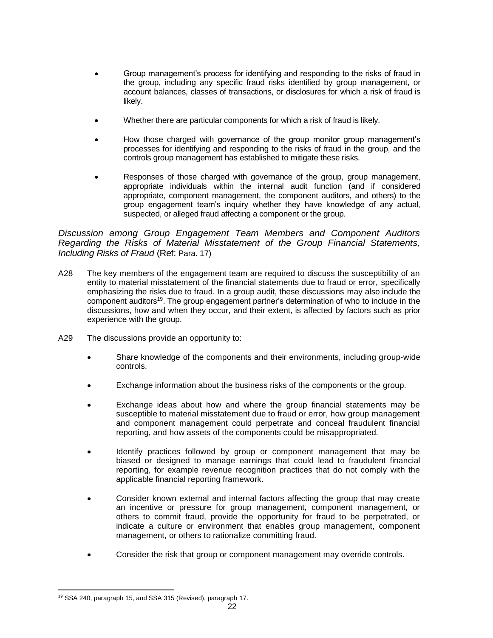- Group management's process for identifying and responding to the risks of fraud in the group, including any specific fraud risks identified by group management, or account balances, classes of transactions, or disclosures for which a risk of fraud is likely.
- Whether there are particular components for which a risk of fraud is likely.
- How those charged with governance of the group monitor group management's processes for identifying and responding to the risks of fraud in the group, and the controls group management has established to mitigate these risks.
- Responses of those charged with governance of the group, group management, appropriate individuals within the internal audit function (and if considered appropriate, component management, the component auditors, and others) to the group engagement team's inquiry whether they have knowledge of any actual, suspected, or alleged fraud affecting a component or the group.

*Discussion among Group Engagement Team Members and Component Auditors Regarding the Risks of Material Misstatement of the Group Financial Statements, Including Risks of Fraud* (Ref: Para. 17)

- A28 The key members of the engagement team are required to discuss the susceptibility of an entity to material misstatement of the financial statements due to fraud or error, specifically emphasizing the risks due to fraud. In a group audit, these discussions may also include the component auditors<sup>19</sup>. The group engagement partner's determination of who to include in the discussions, how and when they occur, and their extent, is affected by factors such as prior experience with the group.
- A29 The discussions provide an opportunity to:
	- Share knowledge of the components and their environments, including group-wide controls.
	- Exchange information about the business risks of the components or the group.
	- Exchange ideas about how and where the group financial statements may be susceptible to material misstatement due to fraud or error, how group management and component management could perpetrate and conceal fraudulent financial reporting, and how assets of the components could be misappropriated.
	- Identify practices followed by group or component management that may be biased or designed to manage earnings that could lead to fraudulent financial reporting, for example revenue recognition practices that do not comply with the applicable financial reporting framework.
	- Consider known external and internal factors affecting the group that may create an incentive or pressure for group management, component management, or others to commit fraud, provide the opportunity for fraud to be perpetrated, or indicate a culture or environment that enables group management, component management, or others to rationalize committing fraud.
	- Consider the risk that group or component management may override controls.

<sup>19</sup> SSA 240, paragraph 15, and SSA 315 (Revised), paragraph 17.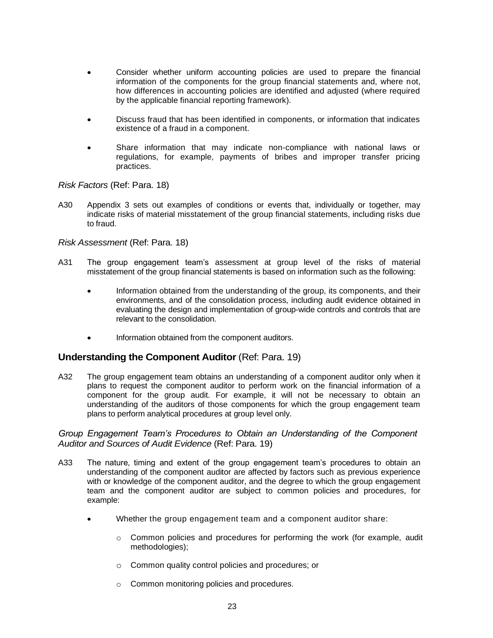- Consider whether uniform accounting policies are used to prepare the financial information of the components for the group financial statements and, where not, how differences in accounting policies are identified and adjusted (where required by the applicable financial reporting framework).
- Discuss fraud that has been identified in components, or information that indicates existence of a fraud in a component.
- Share information that may indicate non-compliance with national laws or regulations, for example, payments of bribes and improper transfer pricing practices.

*Risk Factors* (Ref: Para. 18)

A30 Appendix 3 sets out examples of conditions or events that, individually or together, may indicate risks of material misstatement of the group financial statements, including risks due to fraud.

*Risk Assessment* (Ref: Para. 18)

- A31 The group engagement team's assessment at group level of the risks of material misstatement of the group financial statements is based on information such as the following:
	- Information obtained from the understanding of the group, its components, and their environments, and of the consolidation process, including audit evidence obtained in evaluating the design and implementation of group-wide controls and controls that are relevant to the consolidation.
	- Information obtained from the component auditors.

#### **Understanding the Component Auditor** (Ref: Para. 19)

A32 The group engagement team obtains an understanding of a component auditor only when it plans to request the component auditor to perform work on the financial information of a component for the group audit. For example, it will not be necessary to obtain an understanding of the auditors of those components for which the group engagement team plans to perform analytical procedures at group level only.

*Group Engagement Team's Procedures to Obtain an Understanding of the Component Auditor and Sources of Audit Evidence* (Ref: Para. 19)

- A33 The nature, timing and extent of the group engagement team's procedures to obtain an understanding of the component auditor are affected by factors such as previous experience with or knowledge of the component auditor, and the degree to which the group engagement team and the component auditor are subject to common policies and procedures, for example:
	- Whether the group engagement team and a component auditor share:
		- $\circ$  Common policies and procedures for performing the work (for example, audit methodologies);
		- o Common quality control policies and procedures; or
		- o Common monitoring policies and procedures.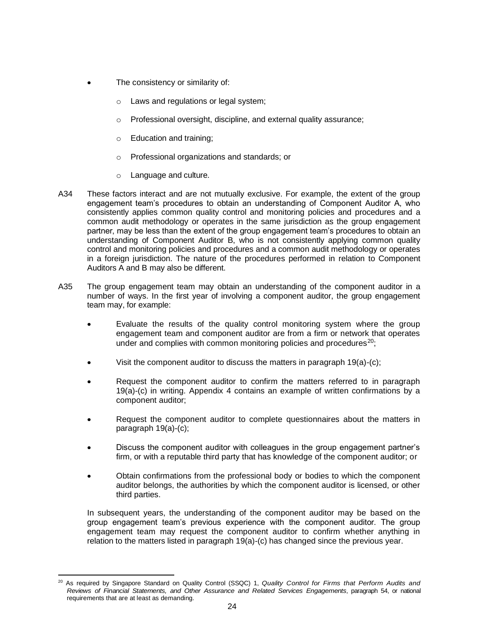- The consistency or similarity of:
	- o Laws and regulations or legal system;
	- o Professional oversight, discipline, and external quality assurance;
	- o Education and training;
	- o Professional organizations and standards; or
	- o Language and culture.
- A34 These factors interact and are not mutually exclusive. For example, the extent of the group engagement team's procedures to obtain an understanding of Component Auditor A, who consistently applies common quality control and monitoring policies and procedures and a common audit methodology or operates in the same jurisdiction as the group engagement partner, may be less than the extent of the group engagement team's procedures to obtain an understanding of Component Auditor B, who is not consistently applying common quality control and monitoring policies and procedures and a common audit methodology or operates in a foreign jurisdiction. The nature of the procedures performed in relation to Component Auditors A and B may also be different.
- A35 The group engagement team may obtain an understanding of the component auditor in a number of ways. In the first year of involving a component auditor, the group engagement team may, for example:
	- Evaluate the results of the quality control monitoring system where the group engagement team and component auditor are from a firm or network that operates under and complies with common monitoring policies and procedures $^{20}$ ;
	- Visit the component auditor to discuss the matters in paragraph 19(a)-(c);
	- Request the component auditor to confirm the matters referred to in paragraph 19(a)-(c) in writing. Appendix 4 contains an example of written confirmations by a component auditor;
	- Request the component auditor to complete questionnaires about the matters in paragraph 19(a)-(c);
	- Discuss the component auditor with colleagues in the group engagement partner's firm, or with a reputable third party that has knowledge of the component auditor; or
	- Obtain confirmations from the professional body or bodies to which the component auditor belongs, the authorities by which the component auditor is licensed, or other third parties.

In subsequent years, the understanding of the component auditor may be based on the group engagement team's previous experience with the component auditor. The group engagement team may request the component auditor to confirm whether anything in relation to the matters listed in paragraph 19(a)-(c) has changed since the previous year.

<sup>20</sup> As required by Singapore Standard on Quality Control (SSQC) 1, *Quality Control for Firms that Perform Audits and Reviews of Financial Statements, and Other Assurance and Related Services Engagements*, paragraph 54, or national requirements that are at least as demanding.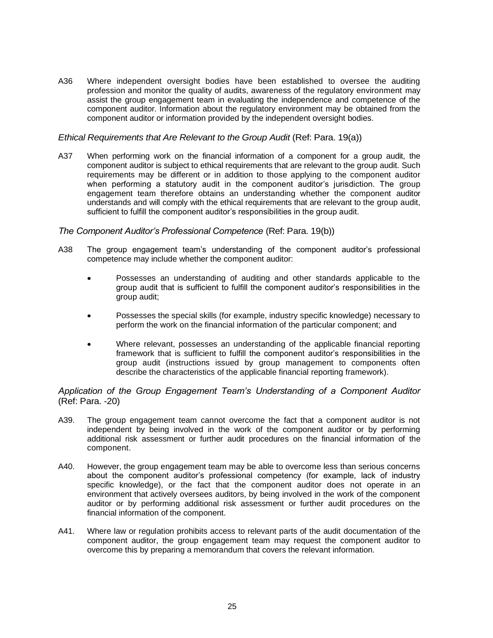A36 Where independent oversight bodies have been established to oversee the auditing profession and monitor the quality of audits, awareness of the regulatory environment may assist the group engagement team in evaluating the independence and competence of the component auditor. Information about the regulatory environment may be obtained from the component auditor or information provided by the independent oversight bodies.

#### *Ethical Requirements that Are Relevant to the Group Audit* (Ref: Para. 19(a))

A37 When performing work on the financial information of a component for a group audit, the component auditor is subject to ethical requirements that are relevant to the group audit. Such requirements may be different or in addition to those applying to the component auditor when performing a statutory audit in the component auditor's jurisdiction. The group engagement team therefore obtains an understanding whether the component auditor understands and will comply with the ethical requirements that are relevant to the group audit, sufficient to fulfill the component auditor's responsibilities in the group audit.

#### *The Component Auditor's Professional Competence* (Ref: Para. 19(b))

- A38 The group engagement team's understanding of the component auditor's professional competence may include whether the component auditor:
	- Possesses an understanding of auditing and other standards applicable to the group audit that is sufficient to fulfill the component auditor's responsibilities in the group audit;
	- Possesses the special skills (for example, industry specific knowledge) necessary to perform the work on the financial information of the particular component; and
	- Where relevant, possesses an understanding of the applicable financial reporting framework that is sufficient to fulfill the component auditor's responsibilities in the group audit (instructions issued by group management to components often describe the characteristics of the applicable financial reporting framework).

#### *Application of the Group Engagement Team's Understanding of a Component Auditor*  (Ref: Para. -20)

- A39. The group engagement team cannot overcome the fact that a component auditor is not independent by being involved in the work of the component auditor or by performing additional risk assessment or further audit procedures on the financial information of the component.
- A40. However, the group engagement team may be able to overcome less than serious concerns about the component auditor's professional competency (for example, lack of industry specific knowledge), or the fact that the component auditor does not operate in an environment that actively oversees auditors, by being involved in the work of the component auditor or by performing additional risk assessment or further audit procedures on the financial information of the component.
- A41. Where law or regulation prohibits access to relevant parts of the audit documentation of the component auditor, the group engagement team may request the component auditor to overcome this by preparing a memorandum that covers the relevant information.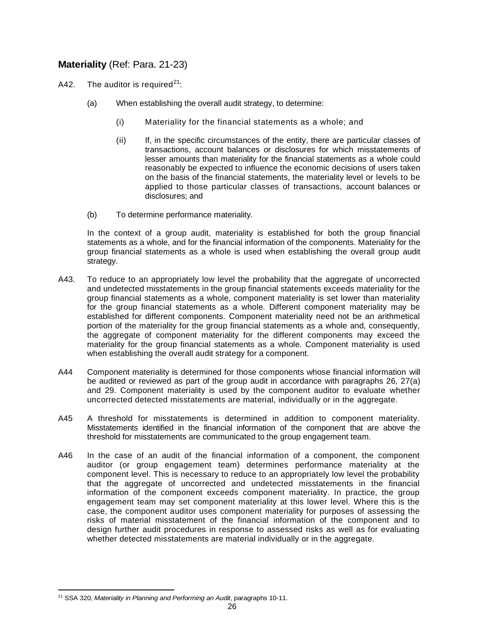### **Materiality** (Ref: Para. 21-23)

- A42. The auditor is required<sup>21</sup>:
	- (a) When establishing the overall audit strategy, to determine:
		- (i) Materiality for the financial statements as a whole; and
		- (ii) If, in the specific circumstances of the entity, there are particular classes of transactions, account balances or disclosures for which misstatements of lesser amounts than materiality for the financial statements as a whole could reasonably be expected to influence the economic decisions of users taken on the basis of the financial statements, the materiality level or levels to be applied to those particular classes of transactions, account balances or disclosures; and
	- (b) To determine performance materiality.

In the context of a group audit, materiality is established for both the group financial statements as a whole, and for the financial information of the components. Materiality for the group financial statements as a whole is used when establishing the overall group audit strategy.

- A43. To reduce to an appropriately low level the probability that the aggregate of uncorrected and undetected misstatements in the group financial statements exceeds materiality for the group financial statements as a whole, component materiality is set lower than materiality for the group financial statements as a whole. Different component materiality may be established for different components. Component materiality need not be an arithmetical portion of the materiality for the group financial statements as a whole and, consequently, the aggregate of component materiality for the different components may exceed the materiality for the group financial statements as a whole. Component materiality is used when establishing the overall audit strategy for a component.
- A44 Component materiality is determined for those components whose financial information will be audited or reviewed as part of the group audit in accordance with paragraphs 26, 27(a) and 29. Component materiality is used by the component auditor to evaluate whether uncorrected detected misstatements are material, individually or in the aggregate.
- A45 A threshold for misstatements is determined in addition to component materiality. Misstatements identified in the financial information of the component that are above the threshold for misstatements are communicated to the group engagement team.
- A46 In the case of an audit of the financial information of a component, the component auditor (or group engagement team) determines performance materiality at the component level. This is necessary to reduce to an appropriately low level the probability that the aggregate of uncorrected and undetected misstatements in the financial information of the component exceeds component materiality. In practice, the group engagement team may set component materiality at this lower level. Where this is the case, the component auditor uses component materiality for purposes of assessing the risks of material misstatement of the financial information of the component and to design further audit procedures in response to assessed risks as well as for evaluating whether detected misstatements are material individually or in the aggregate.

<sup>21</sup> SSA 320, *Materiality in Planning and Performing an Audit*, paragraphs 10-11.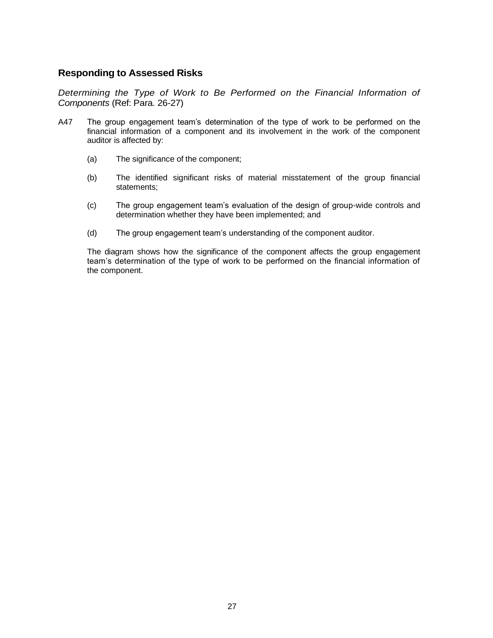### **Responding to Assessed Risks**

*Determining the Type of Work to Be Performed on the Financial Information of Components* (Ref: Para. 26-27)

- A47 The group engagement team's determination of the type of work to be performed on the financial information of a component and its involvement in the work of the component auditor is affected by:
	- (a) The significance of the component;
	- (b) The identified significant risks of material misstatement of the group financial statements;
	- (c) The group engagement team's evaluation of the design of group-wide controls and determination whether they have been implemented; and
	- (d) The group engagement team's understanding of the component auditor.

The diagram shows how the significance of the component affects the group engagement team's determination of the type of work to be performed on the financial information of the component.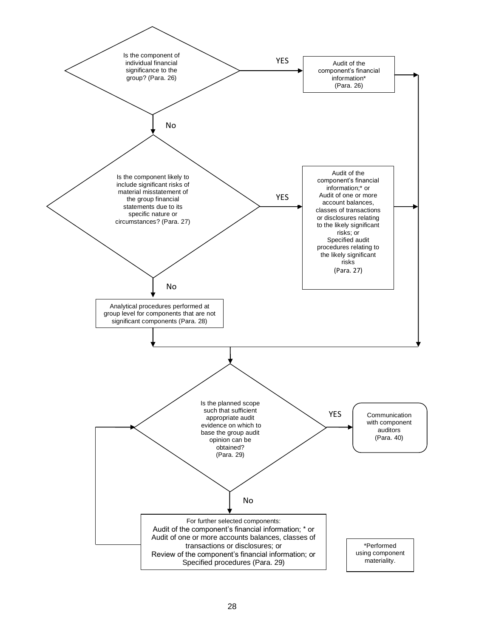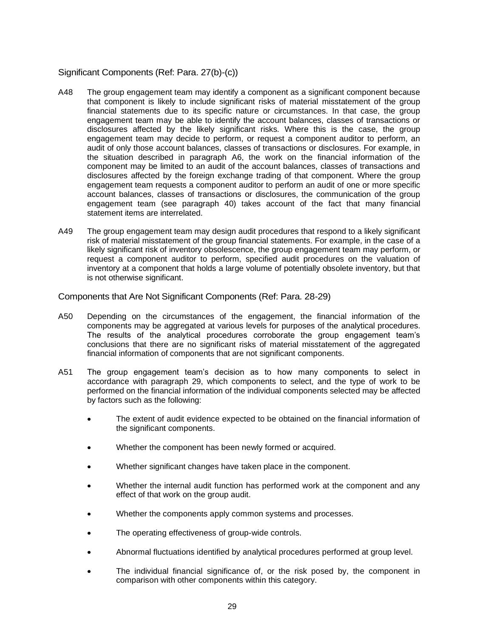#### Significant Components (Ref: Para. 27(b)-(c))

- A48 The group engagement team may identify a component as a significant component because that component is likely to include significant risks of material misstatement of the group financial statements due to its specific nature or circumstances. In that case, the group engagement team may be able to identify the account balances, classes of transactions or disclosures affected by the likely significant risks. Where this is the case, the group engagement team may decide to perform, or request a component auditor to perform, an audit of only those account balances, classes of transactions or disclosures. For example, in the situation described in paragraph A6, the work on the financial information of the component may be limited to an audit of the account balances, classes of transactions and disclosures affected by the foreign exchange trading of that component. Where the group engagement team requests a component auditor to perform an audit of one or more specific account balances, classes of transactions or disclosures, the communication of the group engagement team (see paragraph 40) takes account of the fact that many financial statement items are interrelated.
- A49 The group engagement team may design audit procedures that respond to a likely significant risk of material misstatement of the group financial statements. For example, in the case of a likely significant risk of inventory obsolescence, the group engagement team may perform, or request a component auditor to perform, specified audit procedures on the valuation of inventory at a component that holds a large volume of potentially obsolete inventory, but that is not otherwise significant.

Components that Are Not Significant Components (Ref: Para. 28-29)

- A50 Depending on the circumstances of the engagement, the financial information of the components may be aggregated at various levels for purposes of the analytical procedures. The results of the analytical procedures corroborate the group engagement team's conclusions that there are no significant risks of material misstatement of the aggregated financial information of components that are not significant components.
- A51 The group engagement team's decision as to how many components to select in accordance with paragraph 29, which components to select, and the type of work to be performed on the financial information of the individual components selected may be affected by factors such as the following:
	- The extent of audit evidence expected to be obtained on the financial information of the significant components.
	- Whether the component has been newly formed or acquired.
	- Whether significant changes have taken place in the component.
	- Whether the internal audit function has performed work at the component and any effect of that work on the group audit.
	- Whether the components apply common systems and processes.
	- The operating effectiveness of group-wide controls.
	- Abnormal fluctuations identified by analytical procedures performed at group level.
	- The individual financial significance of, or the risk posed by, the component in comparison with other components within this category.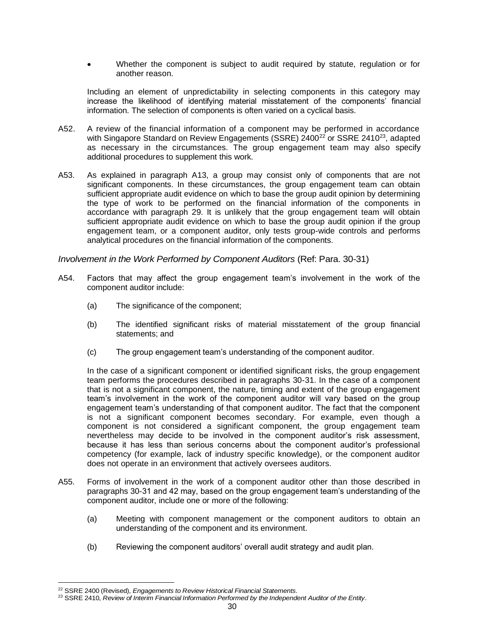• Whether the component is subject to audit required by statute, regulation or for another reason.

Including an element of unpredictability in selecting components in this category may increase the likelihood of identifying material misstatement of the components' financial information. The selection of components is often varied on a cyclical basis.

- A52. A review of the financial information of a component may be performed in accordance with Singapore Standard on Review Engagements (SSRE) 2400 $^{22}$  or SSRE 2410 $^{23}$ , adapted as necessary in the circumstances. The group engagement team may also specify additional procedures to supplement this work.
- A53. As explained in paragraph A13, a group may consist only of components that are not significant components. In these circumstances, the group engagement team can obtain sufficient appropriate audit evidence on which to base the group audit opinion by determining the type of work to be performed on the financial information of the components in accordance with paragraph 29. It is unlikely that the group engagement team will obtain sufficient appropriate audit evidence on which to base the group audit opinion if the group engagement team, or a component auditor, only tests group-wide controls and performs analytical procedures on the financial information of the components.

#### *Involvement in the Work Performed by Component Auditors* (Ref: Para. 30-31)

- A54. Factors that may affect the group engagement team's involvement in the work of the component auditor include:
	- (a) The significance of the component;
	- (b) The identified significant risks of material misstatement of the group financial statements; and
	- (c) The group engagement team's understanding of the component auditor.

In the case of a significant component or identified significant risks, the group engagement team performs the procedures described in paragraphs 30-31. In the case of a component that is not a significant component, the nature, timing and extent of the group engagement team's involvement in the work of the component auditor will vary based on the group engagement team's understanding of that component auditor. The fact that the component is not a significant component becomes secondary. For example, even though a component is not considered a significant component, the group engagement team nevertheless may decide to be involved in the component auditor's risk assessment, because it has less than serious concerns about the component auditor's professional competency (for example, lack of industry specific knowledge), or the component auditor does not operate in an environment that actively oversees auditors.

- A55. Forms of involvement in the work of a component auditor other than those described in paragraphs 30-31 and 42 may, based on the group engagement team's understanding of the component auditor, include one or more of the following:
	- (a) Meeting with component management or the component auditors to obtain an understanding of the component and its environment.
	- (b) Reviewing the component auditors' overall audit strategy and audit plan.

<sup>22</sup> SSRE 2400 (Revised), *Engagements to Review Historical Financial Statements*.

<sup>23</sup> SSRE 2410, *Review of Interim Financial Information Performed by the Independent Auditor of the Entity*.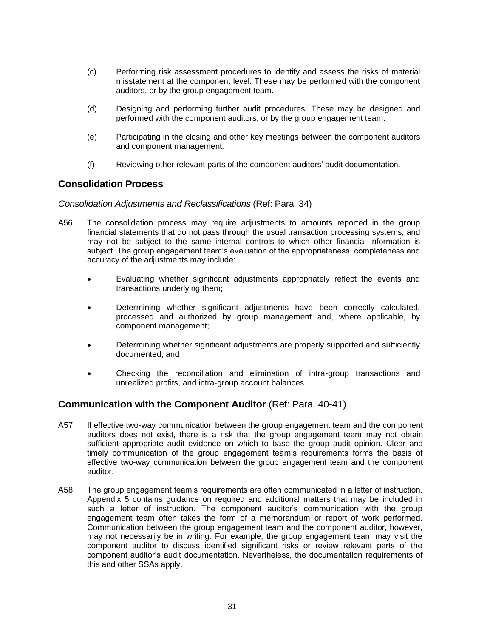- (c) Performing risk assessment procedures to identify and assess the risks of material misstatement at the component level. These may be performed with the component auditors, or by the group engagement team.
- (d) Designing and performing further audit procedures. These may be designed and performed with the component auditors, or by the group engagement team.
- (e) Participating in the closing and other key meetings between the component auditors and component management.
- (f) Reviewing other relevant parts of the component auditors' audit documentation.

#### **Consolidation Process**

*Consolidation Adjustments and Reclassifications* (Ref: Para. 34)

- A56. The consolidation process may require adjustments to amounts reported in the group financial statements that do not pass through the usual transaction processing systems, and may not be subject to the same internal controls to which other financial information is subject. The group engagement team's evaluation of the appropriateness, completeness and accuracy of the adjustments may include:
	- Evaluating whether significant adjustments appropriately reflect the events and transactions underlying them;
	- Determining whether significant adjustments have been correctly calculated, processed and authorized by group management and, where applicable, by component management;
	- Determining whether significant adjustments are properly supported and sufficiently documented; and
	- Checking the reconciliation and elimination of intra-group transactions and unrealized profits, and intra-group account balances.

### **Communication with the Component Auditor (Ref: Para. 40-41)**

- A57 If effective two-way communication between the group engagement team and the component auditors does not exist, there is a risk that the group engagement team may not obtain sufficient appropriate audit evidence on which to base the group audit opinion. Clear and timely communication of the group engagement team's requirements forms the basis of effective two-way communication between the group engagement team and the component auditor.
- A58 The group engagement team's requirements are often communicated in a letter of instruction. Appendix 5 contains guidance on required and additional matters that may be included in such a letter of instruction. The component auditor's communication with the group engagement team often takes the form of a memorandum or report of work performed. Communication between the group engagement team and the component auditor, however, may not necessarily be in writing. For example, the group engagement team may visit the component auditor to discuss identified significant risks or review relevant parts of the component auditor's audit documentation. Nevertheless, the documentation requirements of this and other SSAs apply.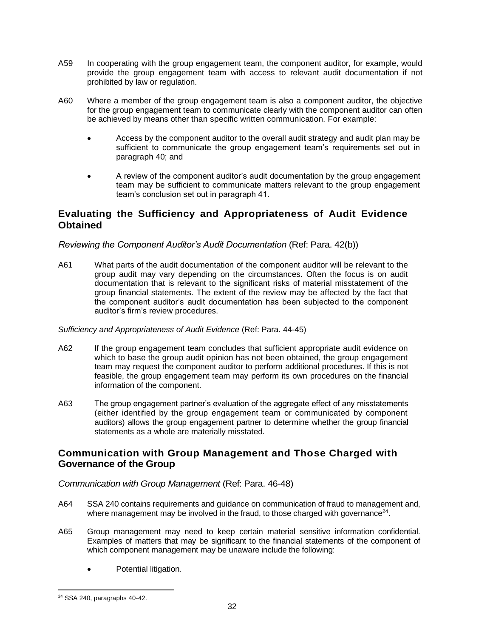- A59 In cooperating with the group engagement team, the component auditor, for example, would provide the group engagement team with access to relevant audit documentation if not prohibited by law or regulation.
- A60 Where a member of the group engagement team is also a component auditor, the objective for the group engagement team to communicate clearly with the component auditor can often be achieved by means other than specific written communication. For example:
	- Access by the component auditor to the overall audit strategy and audit plan may be sufficient to communicate the group engagement team's requirements set out in paragraph 40; and
	- A review of the component auditor's audit documentation by the group engagement team may be sufficient to communicate matters relevant to the group engagement team's conclusion set out in paragraph 41.

### **Evaluating the Sufficiency and Appropriateness of Audit Evidence Obtained**

*Reviewing the Component Auditor's Audit Documentation* (Ref: Para. 42(b))

A61 What parts of the audit documentation of the component auditor will be relevant to the group audit may vary depending on the circumstances. Often the focus is on audit documentation that is relevant to the significant risks of material misstatement of the group financial statements. The extent of the review may be affected by the fact that the component auditor's audit documentation has been subjected to the component auditor's firm's review procedures.

#### *Sufficiency and Appropriateness of Audit Evidence* (Ref: Para. 44-45)

- A62 If the group engagement team concludes that sufficient appropriate audit evidence on which to base the group audit opinion has not been obtained, the group engagement team may request the component auditor to perform additional procedures. If this is not feasible, the group engagement team may perform its own procedures on the financial information of the component.
- A63 The group engagement partner's evaluation of the aggregate effect of any misstatements (either identified by the group engagement team or communicated by component auditors) allows the group engagement partner to determine whether the group financial statements as a whole are materially misstated.

### **Communication with Group Management and Those Charged with Governance of the Group**

*Communication with Group Management* (Ref: Para. 46-48)

- A64 SSA 240 contains requirements and guidance on communication of fraud to management and, where management may be involved in the fraud, to those charged with governance<sup>24</sup>.
- A65 Group management may need to keep certain material sensitive information confidential. Examples of matters that may be significant to the financial statements of the component of which component management may be unaware include the following:
	- Potential litigation.

<sup>24</sup> SSA 240, paragraphs 40-42.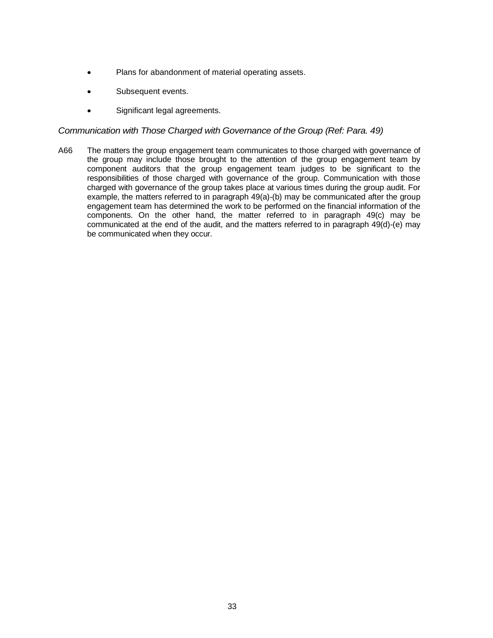- Plans for abandonment of material operating assets.
- Subsequent events.
- Significant legal agreements.

#### *Communication with Those Charged with Governance of the Group (Ref: Para. 49)*

A66 The matters the group engagement team communicates to those charged with governance of the group may include those brought to the attention of the group engagement team by component auditors that the group engagement team judges to be significant to the responsibilities of those charged with governance of the group. Communication with those charged with governance of the group takes place at various times during the group audit. For example, the matters referred to in paragraph 49(a)-(b) may be communicated after the group engagement team has determined the work to be performed on the financial information of the components. On the other hand, the matter referred to in paragraph 49(c) may be communicated at the end of the audit, and the matters referred to in paragraph 49(d)-(e) may be communicated when they occur.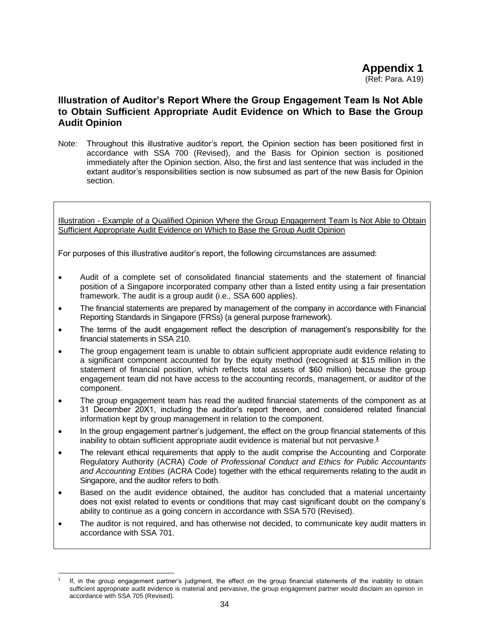(Ref: Para. A19)

### **Illustration of Auditor's Report Where the Group Engagement Team Is Not Able to Obtain Sufficient Appropriate Audit Evidence on Which to Base the Group Audit Opinion**

Note: Throughout this illustrative auditor's report, the Opinion section has been positioned first in accordance with SSA 700 (Revised), and the Basis for Opinion section is positioned immediately after the Opinion section. Also, the first and last sentence that was included in the extant auditor's responsibilities section is now subsumed as part of the new Basis for Opinion section.

Illustration - Example of a Qualified Opinion Where the Group Engagement Team Is Not Able to Obtain Sufficient Appropriate Audit Evidence on Which to Base the Group Audit Opinion

For purposes of this illustrative auditor's report, the following circumstances are assumed:

- Audit of a complete set of consolidated financial statements and the statement of financial position of a Singapore incorporated company other than a listed entity using a fair presentation framework. The audit is a group audit (i.e., SSA 600 applies).
- The financial statements are prepared by management of the company in accordance with Financial Reporting Standards in Singapore (FRSs) (a general purpose framework).
- The terms of the audit engagement reflect the description of management's responsibility for the financial statements in SSA 210.
- The group engagement team is unable to obtain sufficient appropriate audit evidence relating to a significant component accounted for by the equity method (recognised at \$15 million in the statement of financial position, which reflects total assets of \$60 million) because the group engagement team did not have access to the accounting records, management, or auditor of the component.
- The group engagement team has read the audited financial statements of the component as at 31 December 20X1, including the auditor's report thereon, and considered related financial information kept by group management in relation to the component.
- In the group engagement partner's judgement, the effect on the group financial statements of this inability to obtain sufficient appropriate audit evidence is material but not pervasive.**<sup>1</sup>**
- The relevant ethical requirements that apply to the audit comprise the Accounting and Corporate Regulatory Authority (ACRA) *Code of Professional Conduct and Ethics for Public Accountants and Accounting Entities* (ACRA Code) together with the ethical requirements relating to the audit in Singapore, and the auditor refers to both.
- Based on the audit evidence obtained, the auditor has concluded that a material uncertainty does not exist related to events or conditions that may cast significant doubt on the company's ability to continue as a going concern in accordance with SSA 570 (Revised).
- The auditor is not required, and has otherwise not decided, to communicate key audit matters in accordance with SSA 701.

<sup>1</sup> If, in the group engagement partner's judgment, the effect on the group financial statements of the inability to obtain sufficient appropriate audit evidence is material and pervasive, the group engagement partner would disclaim an opinion in accordance with SSA 705 (Revised).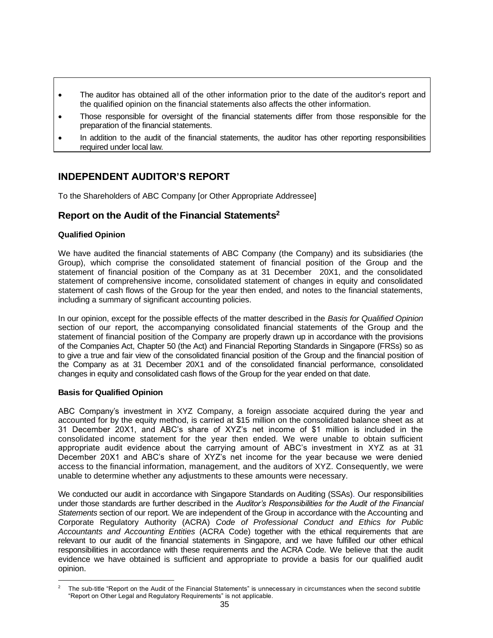- The auditor has obtained all of the other information prior to the date of the auditor's report and the qualified opinion on the financial statements also affects the other information.
- Those responsible for oversight of the financial statements differ from those responsible for the preparation of the financial statements.
- In addition to the audit of the financial statements, the auditor has other reporting responsibilities required under local law.

### **INDEPENDENT AUDITOR'S REPORT**

To the Shareholders of ABC Company [or Other Appropriate Addressee]

### **Report on the Audit of the Financial Statements<sup>2</sup>**

#### **Qualified Opinion**

We have audited the financial statements of ABC Company (the Company) and its subsidiaries (the Group), which comprise the consolidated statement of financial position of the Group and the statement of financial position of the Company as at 31 December 20X1, and the consolidated statement of comprehensive income, consolidated statement of changes in equity and consolidated statement of cash flows of the Group for the year then ended, and notes to the financial statements, including a summary of significant accounting policies.

In our opinion, except for the possible effects of the matter described in the *Basis for Qualified Opinion* section of our report, the accompanying consolidated financial statements of the Group and the statement of financial position of the Company are properly drawn up in accordance with the provisions of the Companies Act, Chapter 50 (the Act) and Financial Reporting Standards in Singapore (FRSs) so as to give a true and fair view of the consolidated financial position of the Group and the financial position of the Company as at 31 December 20X1 and of the consolidated financial performance, consolidated changes in equity and consolidated cash flows of the Group for the year ended on that date.

#### **Basis for Qualified Opinion**

ABC Company's investment in XYZ Company, a foreign associate acquired during the year and accounted for by the equity method, is carried at \$15 million on the consolidated balance sheet as at 31 December 20X1, and ABC's share of XYZ's net income of \$1 million is included in the consolidated income statement for the year then ended. We were unable to obtain sufficient appropriate audit evidence about the carrying amount of ABC's investment in XYZ as at 31 December 20X1 and ABC's share of XYZ's net income for the year because we were denied access to the financial information, management, and the auditors of XYZ. Consequently, we were unable to determine whether any adjustments to these amounts were necessary.

We conducted our audit in accordance with Singapore Standards on Auditing (SSAs). Our responsibilities under those standards are further described in the *Auditor's Responsibilities for the Audit of the Financial Statements* section of our report. We are independent of the Group in accordance with the Accounting and Corporate Regulatory Authority (ACRA) *Code of Professional Conduct and Ethics for Public Accountants and Accounting Entities* (ACRA Code) together with the ethical requirements that are relevant to our audit of the financial statements in Singapore, and we have fulfilled our other ethical responsibilities in accordance with these requirements and the ACRA Code. We believe that the audit evidence we have obtained is sufficient and appropriate to provide a basis for our qualified audit opinion.

<sup>2</sup> The sub-title "Report on the Audit of the Financial Statements" is unnecessary in circumstances when the second subtitle "Report on Other Legal and Regulatory Requirements" is not applicable.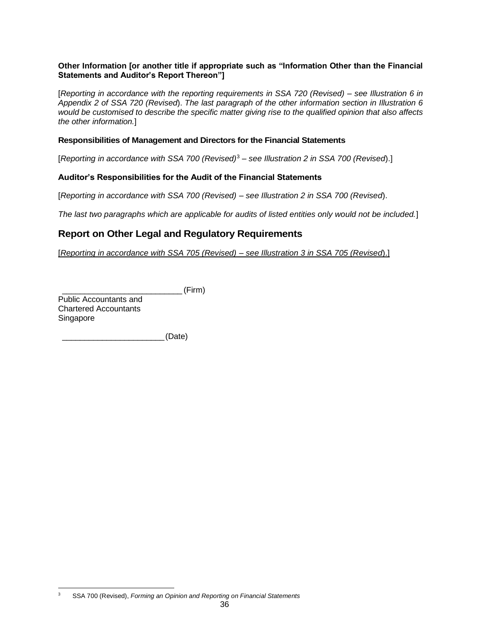#### **Other Information [or another title if appropriate such as "Information Other than the Financial Statements and Auditor's Report Thereon"]**

[*Reporting in accordance with the reporting requirements in SSA 720 (Revised) – see Illustration 6 in Appendix 2 of SSA 720 (Revised*). *The last paragraph of the other information section in Illustration 6 would be customised to describe the specific matter giving rise to the qualified opinion that also affects the other information.*]

#### **Responsibilities of Management and Directors for the Financial Statements**

[*Reporting in accordance with SSA 700 (Revised)*<sup>3</sup> *– see Illustration 2 in SSA 700 (Revised*).]

#### **Auditor's Responsibilities for the Audit of the Financial Statements**

[*Reporting in accordance with SSA 700 (Revised) – see Illustration 2 in SSA 700 (Revised*).

*The last two paragraphs which are applicable for audits of listed entities only would not be included.*]

### **Report on Other Legal and Regulatory Requirements**

[*Reporting in accordance with SSA 705 (Revised) – see Illustration 3 in SSA 705 (Revised*).]

 $(Firm)$ 

Public Accountants and Chartered Accountants Singapore

 $_$ (Date)

<sup>3</sup> SSA 700 (Revised), *Forming an Opinion and Reporting on Financial Statements*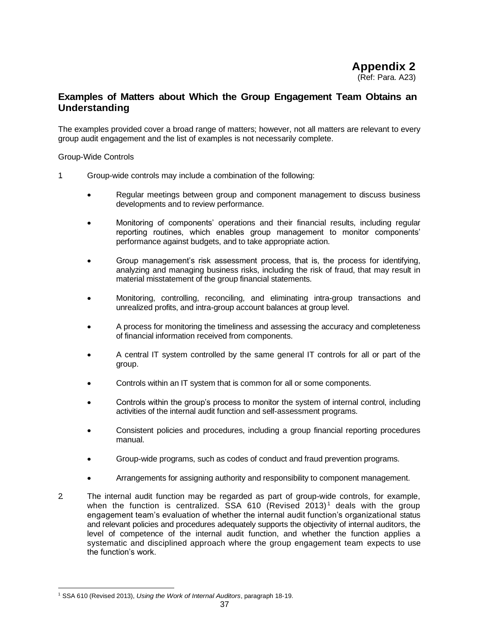(Ref: Para. A23)

### **Examples of Matters about Which the Group Engagement Team Obtains an Understanding**

The examples provided cover a broad range of matters; however, not all matters are relevant to every group audit engagement and the list of examples is not necessarily complete.

#### Group-Wide Controls

- 1. Group-wide controls may include a combination of the following:
	- Regular meetings between group and component management to discuss business developments and to review performance.
	- Monitoring of components' operations and their financial results, including regular reporting routines, which enables group management to monitor components' performance against budgets, and to take appropriate action.
	- Group management's risk assessment process, that is, the process for identifying, analyzing and managing business risks, including the risk of fraud, that may result in material misstatement of the group financial statements.
	- Monitoring, controlling, reconciling, and eliminating intra-group transactions and unrealized profits, and intra-group account balances at group level.
	- A process for monitoring the timeliness and assessing the accuracy and completeness of financial information received from components.
	- A central IT system controlled by the same general IT controls for all or part of the group.
	- Controls within an IT system that is common for all or some components.
	- Controls within the group's process to monitor the system of internal control, including activities of the internal audit function and self-assessment programs.
	- Consistent policies and procedures, including a group financial reporting procedures manual.
	- Group-wide programs, such as codes of conduct and fraud prevention programs.
	- Arrangements for assigning authority and responsibility to component management.
- 2. The internal audit function may be regarded as part of group-wide controls, for example, when the function is centralized.  $SSA$  610 (Revised 2013)<sup>1</sup> deals with the group engagement team's evaluation of whether the internal audit function's organizational status and relevant policies and procedures adequately supports the objectivity of internal auditors, the level of competence of the internal audit function, and whether the function applies a systematic and disciplined approach where the group engagement team expects to use the function's work.

<sup>1</sup> SSA 610 (Revised 2013), *Using the Work of Internal Auditors*, paragraph 18-19.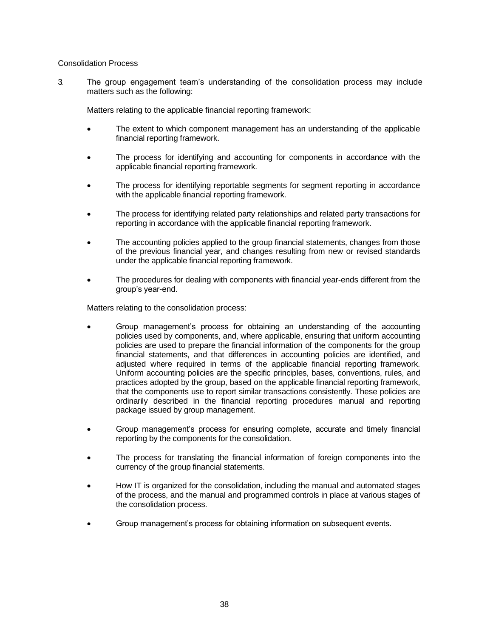#### Consolidation Process

3. The group engagement team's understanding of the consolidation process may include matters such as the following:

Matters relating to the applicable financial reporting framework:

- The extent to which component management has an understanding of the applicable financial reporting framework.
- The process for identifying and accounting for components in accordance with the applicable financial reporting framework.
- The process for identifying reportable segments for segment reporting in accordance with the applicable financial reporting framework.
- The process for identifying related party relationships and related party transactions for reporting in accordance with the applicable financial reporting framework.
- The accounting policies applied to the group financial statements, changes from those of the previous financial year, and changes resulting from new or revised standards under the applicable financial reporting framework.
- The procedures for dealing with components with financial year-ends different from the group's year-end.

Matters relating to the consolidation process:

- Group management's process for obtaining an understanding of the accounting policies used by components, and, where applicable, ensuring that uniform accounting policies are used to prepare the financial information of the components for the group financial statements, and that differences in accounting policies are identified, and adjusted where required in terms of the applicable financial reporting framework. Uniform accounting policies are the specific principles, bases, conventions, rules, and practices adopted by the group, based on the applicable financial reporting framework, that the components use to report similar transactions consistently. These policies are ordinarily described in the financial reporting procedures manual and reporting package issued by group management.
- Group management's process for ensuring complete, accurate and timely financial reporting by the components for the consolidation.
- The process for translating the financial information of foreign components into the currency of the group financial statements.
- How IT is organized for the consolidation, including the manual and automated stages of the process, and the manual and programmed controls in place at various stages of the consolidation process.
- Group management's process for obtaining information on subsequent events.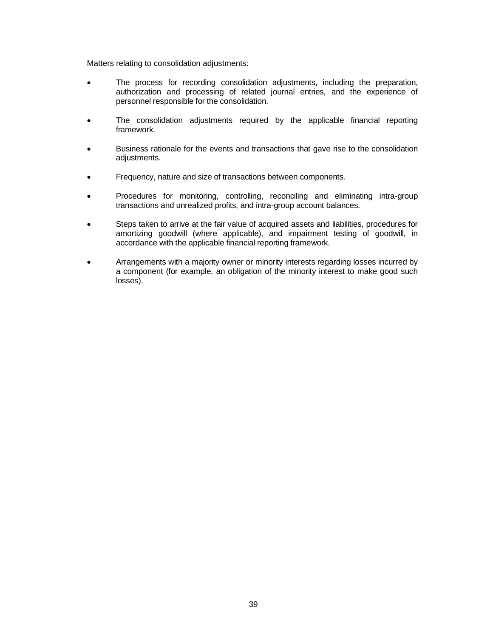Matters relating to consolidation adjustments:

- The process for recording consolidation adjustments, including the preparation, authorization and processing of related journal entries, and the experience of personnel responsible for the consolidation.
- The consolidation adjustments required by the applicable financial reporting framework.
- Business rationale for the events and transactions that gave rise to the consolidation adjustments.
- Frequency, nature and size of transactions between components.
- Procedures for monitoring, controlling, reconciling and eliminating intra-group transactions and unrealized profits, and intra-group account balances.
- Steps taken to arrive at the fair value of acquired assets and liabilities, procedures for amortizing goodwill (where applicable), and impairment testing of goodwill, in accordance with the applicable financial reporting framework.
- Arrangements with a majority owner or minority interests regarding losses incurred by a component (for example, an obligation of the minority interest to make good such losses).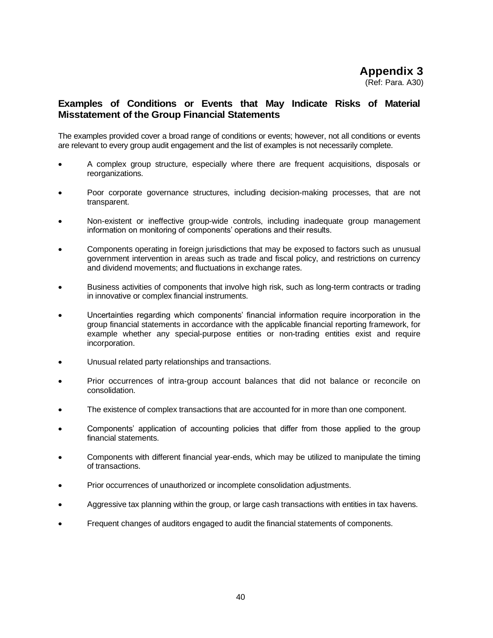### **Examples of Conditions or Events that May Indicate Risks of Material Misstatement of the Group Financial Statements**

The examples provided cover a broad range of conditions or events; however, not all conditions or events are relevant to every group audit engagement and the list of examples is not necessarily complete.

- A complex group structure, especially where there are frequent acquisitions, disposals or reorganizations.
- Poor corporate governance structures, including decision-making processes, that are not transparent.
- Non-existent or ineffective group-wide controls, including inadequate group management information on monitoring of components' operations and their results.
- Components operating in foreign jurisdictions that may be exposed to factors such as unusual government intervention in areas such as trade and fiscal policy, and restrictions on currency and dividend movements; and fluctuations in exchange rates.
- Business activities of components that involve high risk, such as long-term contracts or trading in innovative or complex financial instruments.
- Uncertainties regarding which components' financial information require incorporation in the group financial statements in accordance with the applicable financial reporting framework, for example whether any special-purpose entities or non-trading entities exist and require incorporation.
- Unusual related party relationships and transactions.
- Prior occurrences of intra-group account balances that did not balance or reconcile on consolidation.
- The existence of complex transactions that are accounted for in more than one component.
- Components' application of accounting policies that differ from those applied to the group financial statements.
- Components with different financial year-ends, which may be utilized to manipulate the timing of transactions.
- Prior occurrences of unauthorized or incomplete consolidation adjustments.
- Aggressive tax planning within the group, or large cash transactions with entities in tax havens.
- Frequent changes of auditors engaged to audit the financial statements of components.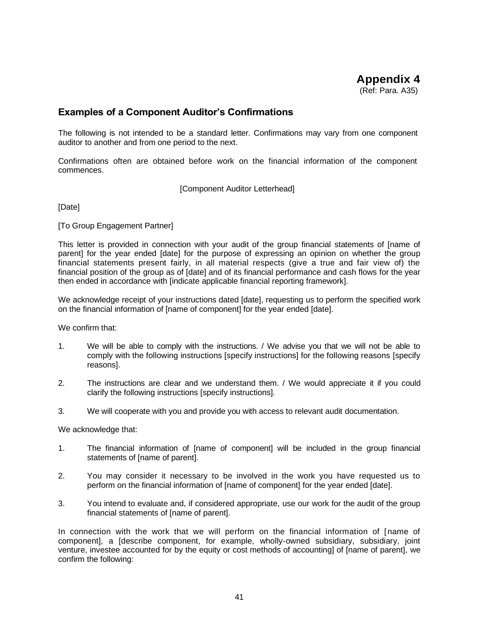### **Examples of a Component Auditor's Confirmations**

The following is not intended to be a standard letter. Confirmations may vary from one component auditor to another and from one period to the next.

Confirmations often are obtained before work on the financial information of the component commences.

[Component Auditor Letterhead]

[Date]

[To Group Engagement Partner]

This letter is provided in connection with your audit of the group financial statements of [name of parent] for the year ended [date] for the purpose of expressing an opinion on whether the group financial statements present fairly, in all material respects (give a true and fair view of) the financial position of the group as of [date] and of its financial performance and cash flows for the year then ended in accordance with [indicate applicable financial reporting framework].

We acknowledge receipt of your instructions dated [date], requesting us to perform the specified work on the financial information of [name of component] for the year ended [date].

We confirm that:

- 1. We will be able to comply with the instructions. / We advise you that we will not be able to comply with the following instructions [specify instructions] for the following reasons [specify reasons].
- 2. The instructions are clear and we understand them. / We would appreciate it if you could clarify the following instructions [specify instructions].
- 3. We will cooperate with you and provide you with access to relevant audit documentation.

We acknowledge that:

- 1. The financial information of [name of component] will be included in the group financial statements of Iname of parentl.
- 2. You may consider it necessary to be involved in the work you have requested us to perform on the financial information of [name of component] for the year ended [date].
- 3. You intend to evaluate and, if considered appropriate, use our work for the audit of the group financial statements of [name of parent].

In connection with the work that we will perform on the financial information of [name of component], a [describe component, for example, wholly-owned subsidiary, subsidiary, joint venture, investee accounted for by the equity or cost methods of accounting] of [name of parent], we confirm the following: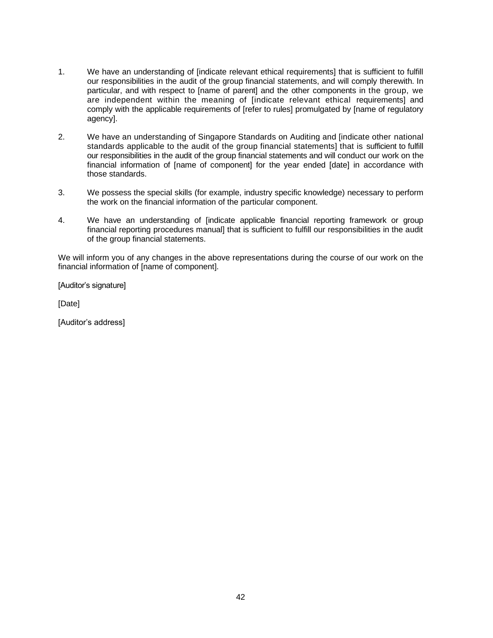- 1. We have an understanding of [indicate relevant ethical requirements] that is sufficient to fulfill our responsibilities in the audit of the group financial statements, and will comply therewith. In particular, and with respect to [name of parent] and the other components in the group, we are independent within the meaning of [indicate relevant ethical requirements] and comply with the applicable requirements of [refer to rules] promulgated by [name of regulatory agency].
- 2. We have an understanding of Singapore Standards on Auditing and [indicate other national standards applicable to the audit of the group financial statements] that is sufficient to fulfill our responsibilities in the audit of the group financial statements and will conduct our work on the financial information of [name of component] for the year ended [date] in accordance with those standards.
- 3. We possess the special skills (for example, industry specific knowledge) necessary to perform the work on the financial information of the particular component.
- 4. We have an understanding of [indicate applicable financial reporting framework or group financial reporting procedures manual] that is sufficient to fulfill our responsibilities in the audit of the group financial statements.

We will inform you of any changes in the above representations during the course of our work on the financial information of [name of component].

[Auditor's signature]

[Date]

[Auditor's address]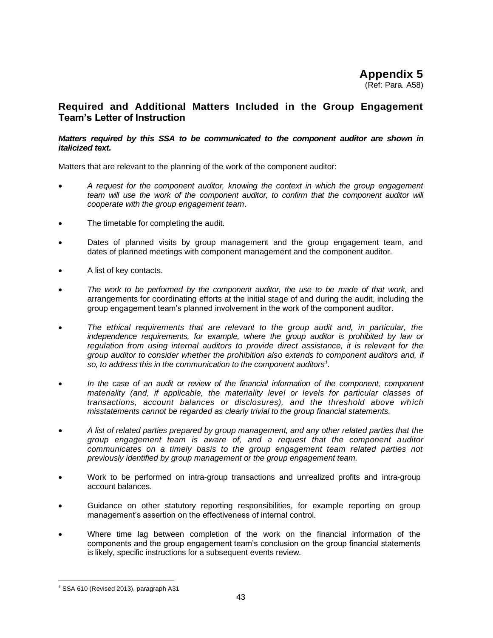### **Required and Additional Matters Included in the Group Engagement Team's Letter of Instruction**

#### *Matters required by this SSA to be communicated to the component auditor are shown in italicized text.*

Matters that are relevant to the planning of the work of the component auditor:

- *A request for the component auditor, knowing the context in which the group engagement*  team will use the work of the component auditor, to confirm that the component auditor will *cooperate with the group engagement team*.
- The timetable for completing the audit.
- Dates of planned visits by group management and the group engagement team, and dates of planned meetings with component management and the component auditor.
- A list of key contacts.
- *The work to be performed by the component auditor, the use to be made of that work*, and arrangements for coordinating efforts at the initial stage of and during the audit, including the group engagement team's planned involvement in the work of the component auditor.
- *The ethical requirements that are relevant to the group audit and, in particular, the independence requirements, for example, where the group auditor is prohibited by law or regulation from using internal auditors to provide direct assistance, it is relevant for the group auditor to consider whether the prohibition also extends to component auditors and, if so, to address this in the communication to the component auditors<sup>1</sup> .*
- *In the case of an audit or review of the financial information of the component, component materiality (and, if applicable, the materiality level or levels for particular classes of transactions, account balances or disclosures), and the threshold above which misstatements cannot be regarded as clearly trivial to the group financial statements.*
- *A list of related parties prepared by group management, and any other related parties that the group engagement team is aware of, and a request that the component auditor communicates on a timely basis to the group engagement team related parties not previously identified by group management or the group engagement team.*
- Work to be performed on intra-group transactions and unrealized profits and intra-group account balances.
- Guidance on other statutory reporting responsibilities, for example reporting on group management's assertion on the effectiveness of internal control.
- Where time lag between completion of the work on the financial information of the components and the group engagement team's conclusion on the group financial statements is likely, specific instructions for a subsequent events review.

<sup>1</sup> SSA 610 (Revised 2013), paragraph A31